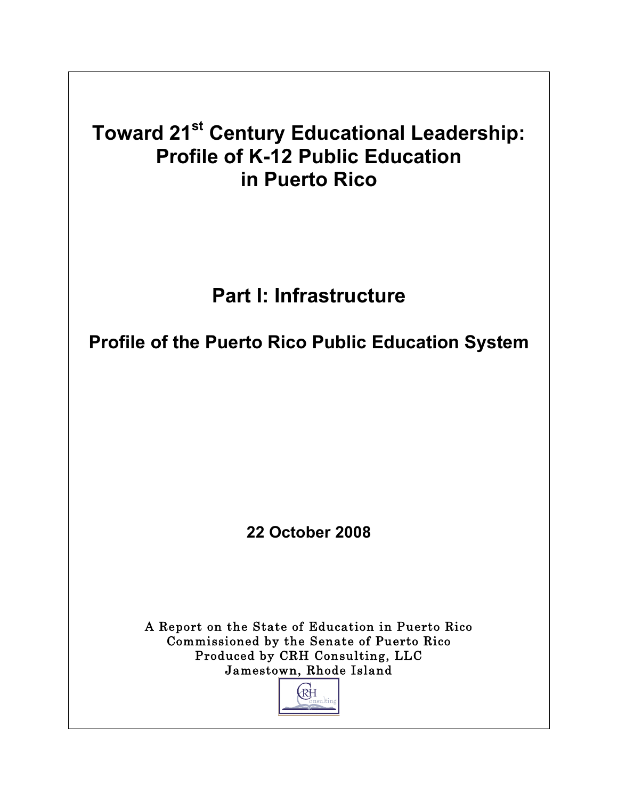# **Toward 21st Century Educational Leadership: Profile of K-12 Public Education in Puerto Rico**

# **Part I: Infrastructure**

**Profile of the Puerto Rico Public Education System**

**22 October 2008**

A Report on the State of Education in Puerto Rico Commissioned by the Senate of Puerto Rico Produced by CRH Consulting, LLC Jamestown, Rhode Island

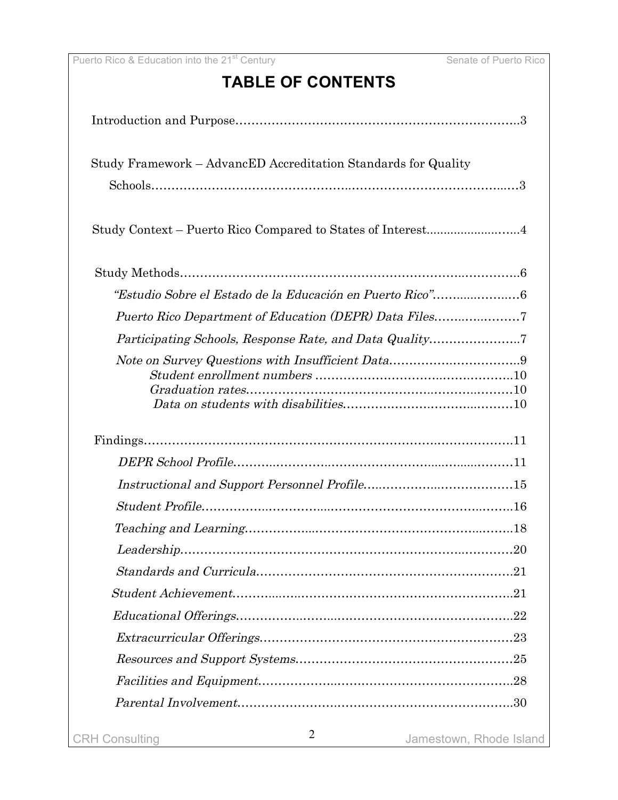# **TABLE OF CONTENTS**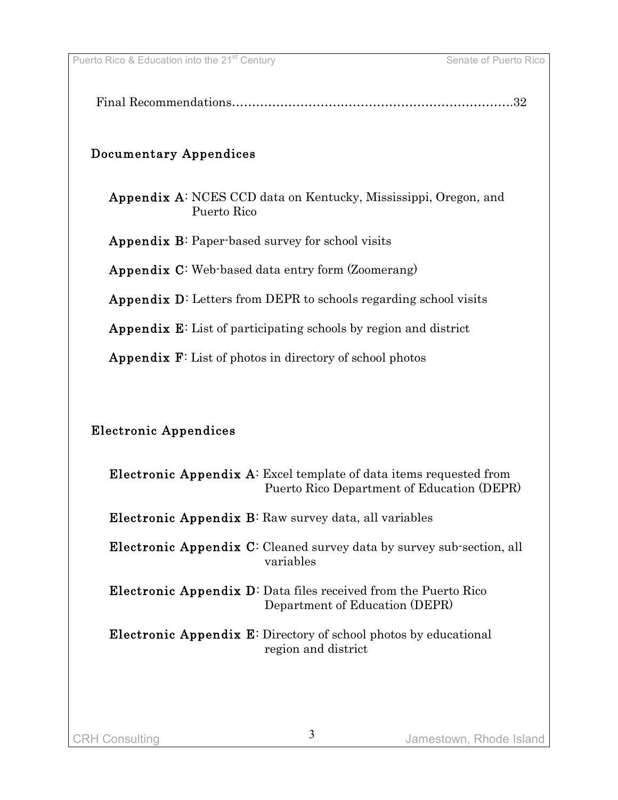|--|

### Documentary Appendices

Appendix A: NCES CCD data on Kentucky, Mississippi, Oregon, and Puerto Rico

Appendix B: Paper-based survey for school visits

Appendix C: Web-based data entry form (Zoomerang)

Appendix D: Letters from DEPR to schools regarding school visits

Appendix E: List of participating schools by region and district

Appendix F: List of photos in directory of school photos

### Electronic Appendices

| <b>Electronic Appendix A:</b> Excel template of data items requested from<br>Puerto Rico Department of Education (DEPR) |
|-------------------------------------------------------------------------------------------------------------------------|
| <b>Electronic Appendix B:</b> Raw survey data, all variables                                                            |
| <b>Electronic Appendix C:</b> Cleaned survey data by survey sub-section, all<br>variables                               |
| <b>Electronic Appendix D</b> : Data files received from the Puerto Rico<br>Department of Education (DEPR)               |
| <b>Electronic Appendix E:</b> Directory of school photos by educational<br>region and district                          |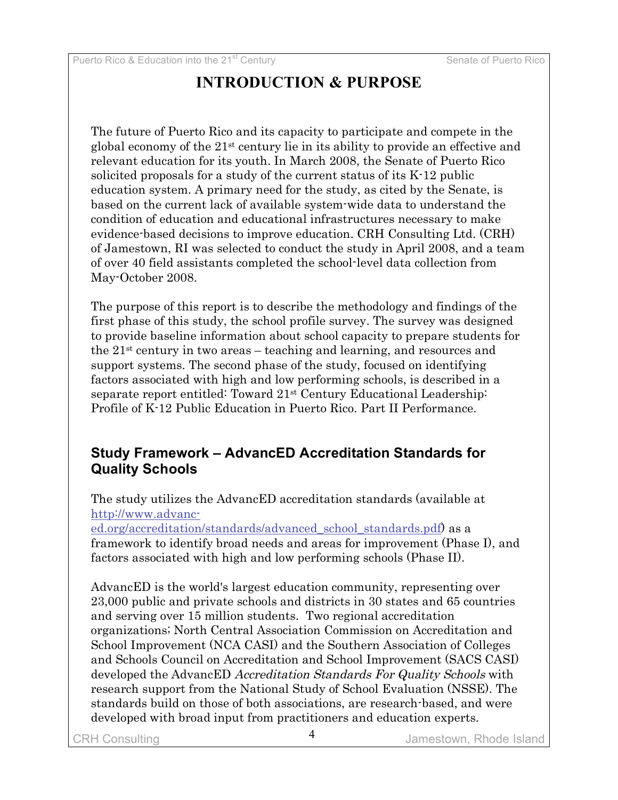# **INTRODUCTION & PURPOSE**

The future of Puerto Rico and its capacity to participate and compete in the global economy of the 21st century lie in its ability to provide an effective and relevant education for its youth. In March 2008, the Senate of Puerto Rico solicited proposals for a study of the current status of its K-12 public education system. A primary need for the study, as cited by the Senate, is based on the current lack of available system-wide data to understand the condition of education and educational infrastructures necessary to make evidence-based decisions to improve education. CRH Consulting Ltd. (CRH) of Jamestown, RI was selected to conduct the study in April 2008, and a team of over 40 field assistants completed the school-level data collection from May-October 2008.

The purpose of this report is to describe the methodology and findings of the first phase of this study, the school profile survey. The survey was designed to provide baseline information about school capacity to prepare students for the  $21<sup>st</sup>$  century in two areas – teaching and learning, and resources and support systems. The second phase of the study, focused on identifying factors associated with high and low performing schools, is described in a separate report entitled: Toward 21st Century Educational Leadership: Profile of K-12 Public Education in Puerto Rico. Part II Performance.

### **Study Framework – AdvancED Accreditation Standards for Quality Schools**

The study utilizes the AdvancED accreditation standards (available at http://www.advanc-

ed.org/accreditation/standards/advanced\_school\_standards.pdf) as a framework to identify broad needs and areas for improvement (Phase I), and factors associated with high and low performing schools (Phase II).

AdvancED is the world's largest education community, representing over 23,000 public and private schools and districts in 30 states and 65 countries and serving over 15 million students. Two regional accreditation organizations; North Central Association Commission on Accreditation and School Improvement (NCA CASI) and the Southern Association of Colleges and Schools Council on Accreditation and School Improvement (SACS CASI) developed the AdvancED Accreditation Standards For Quality Schools with research support from the National Study of School Evaluation (NSSE). The standards build on those of both associations, are research-based, and were developed with broad input from practitioners and education experts.

CRH Consulting  $\overline{4}$  amestown, Rhode Island Jamestown, Rhode Island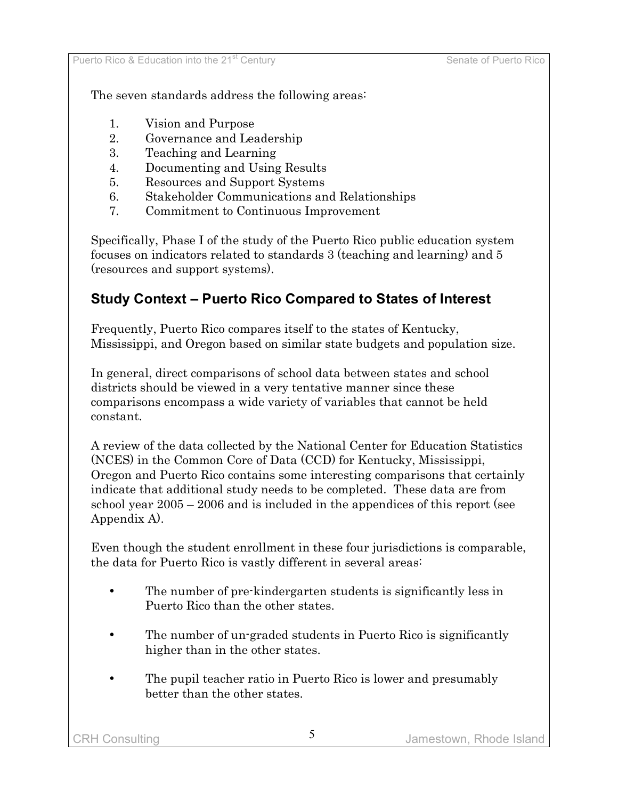The seven standards address the following areas:

- 1. Vision and Purpose
- 2. Governance and Leadership
- 3. Teaching and Learning
- 4. Documenting and Using Results
- 5. Resources and Support Systems
- 6. Stakeholder Communications and Relationships
- 7. Commitment to Continuous Improvement

Specifically, Phase I of the study of the Puerto Rico public education system focuses on indicators related to standards 3 (teaching and learning) and 5 (resources and support systems).

# **Study Context – Puerto Rico Compared to States of Interest**

Frequently, Puerto Rico compares itself to the states of Kentucky, Mississippi, and Oregon based on similar state budgets and population size.

In general, direct comparisons of school data between states and school districts should be viewed in a very tentative manner since these comparisons encompass a wide variety of variables that cannot be held constant.

A review of the data collected by the National Center for Education Statistics (NCES) in the Common Core of Data (CCD) for Kentucky, Mississippi, Oregon and Puerto Rico contains some interesting comparisons that certainly indicate that additional study needs to be completed. These data are from school year 2005 – 2006 and is included in the appendices of this report (see Appendix A).

Even though the student enrollment in these four jurisdictions is comparable, the data for Puerto Rico is vastly different in several areas:

- The number of pre-kindergarten students is significantly less in Puerto Rico than the other states.
- The number of un-graded students in Puerto Rico is significantly higher than in the other states.
- The pupil teacher ratio in Puerto Rico is lower and presumably better than the other states.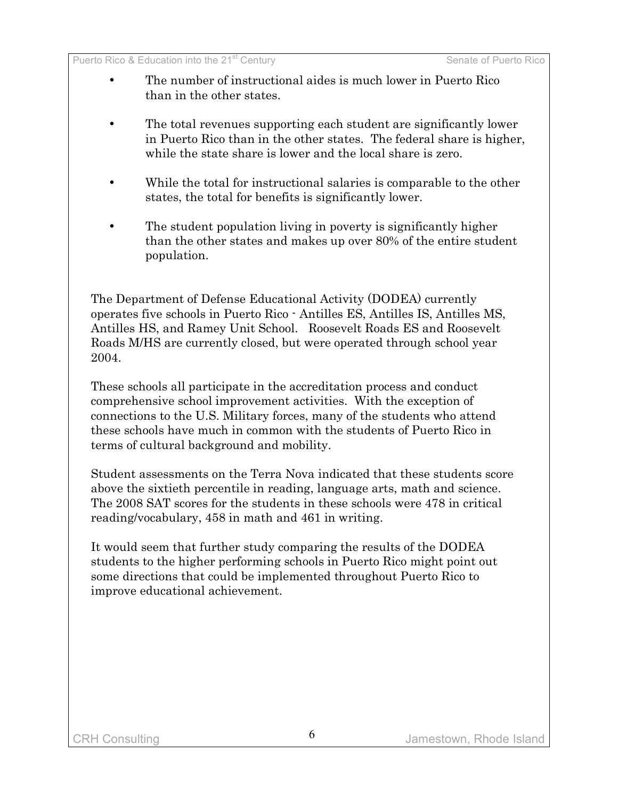- The number of instructional aides is much lower in Puerto Rico than in the other states.
- The total revenues supporting each student are significantly lower in Puerto Rico than in the other states. The federal share is higher, while the state share is lower and the local share is zero.
- While the total for instructional salaries is comparable to the other states, the total for benefits is significantly lower.
- The student population living in poverty is significantly higher than the other states and makes up over 80% of the entire student population.

The Department of Defense Educational Activity (DODEA) currently operates five schools in Puerto Rico - Antilles ES, Antilles IS, Antilles MS, Antilles HS, and Ramey Unit School. Roosevelt Roads ES and Roosevelt Roads M/HS are currently closed, but were operated through school year 2004.

These schools all participate in the accreditation process and conduct comprehensive school improvement activities. With the exception of connections to the U.S. Military forces, many of the students who attend these schools have much in common with the students of Puerto Rico in terms of cultural background and mobility.

Student assessments on the Terra Nova indicated that these students score above the sixtieth percentile in reading, language arts, math and science. The 2008 SAT scores for the students in these schools were 478 in critical reading/vocabulary, 458 in math and 461 in writing.

It would seem that further study comparing the results of the DODEA students to the higher performing schools in Puerto Rico might point out some directions that could be implemented throughout Puerto Rico to improve educational achievement.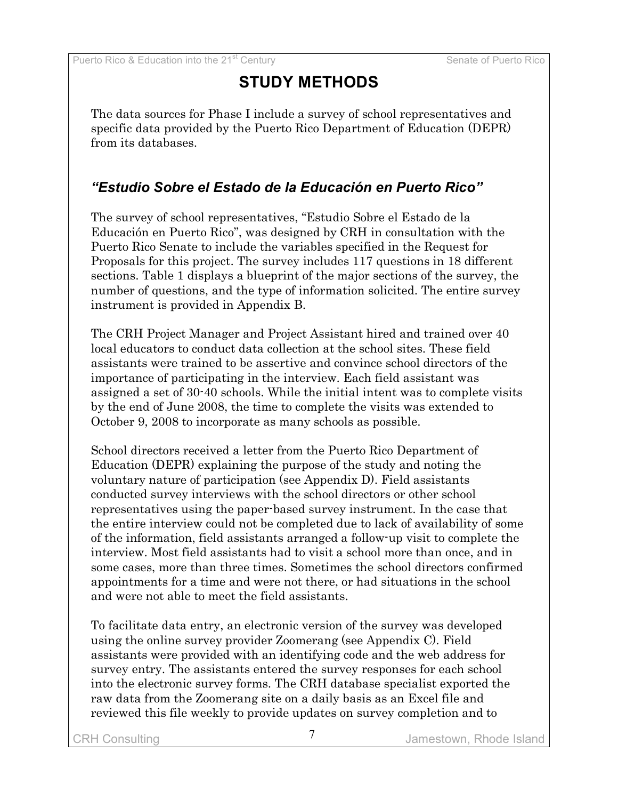# **STUDY METHODS**

The data sources for Phase I include a survey of school representatives and specific data provided by the Puerto Rico Department of Education (DEPR) from its databases.

# *"Estudio Sobre el Estado de la Educación en Puerto Rico"*

The survey of school representatives, "Estudio Sobre el Estado de la Educación en Puerto Rico", was designed by CRH in consultation with the Puerto Rico Senate to include the variables specified in the Request for Proposals for this project. The survey includes 117 questions in 18 different sections. Table 1 displays a blueprint of the major sections of the survey, the number of questions, and the type of information solicited. The entire survey instrument is provided in Appendix B.

The CRH Project Manager and Project Assistant hired and trained over 40 local educators to conduct data collection at the school sites. These field assistants were trained to be assertive and convince school directors of the importance of participating in the interview. Each field assistant was assigned a set of 30-40 schools. While the initial intent was to complete visits by the end of June 2008, the time to complete the visits was extended to October 9, 2008 to incorporate as many schools as possible.

School directors received a letter from the Puerto Rico Department of Education (DEPR) explaining the purpose of the study and noting the voluntary nature of participation (see Appendix D). Field assistants conducted survey interviews with the school directors or other school representatives using the paper-based survey instrument. In the case that the entire interview could not be completed due to lack of availability of some of the information, field assistants arranged a follow-up visit to complete the interview. Most field assistants had to visit a school more than once, and in some cases, more than three times. Sometimes the school directors confirmed appointments for a time and were not there, or had situations in the school and were not able to meet the field assistants.

To facilitate data entry, an electronic version of the survey was developed using the online survey provider Zoomerang (see Appendix C). Field assistants were provided with an identifying code and the web address for survey entry. The assistants entered the survey responses for each school into the electronic survey forms. The CRH database specialist exported the raw data from the Zoomerang site on a daily basis as an Excel file and reviewed this file weekly to provide updates on survey completion and to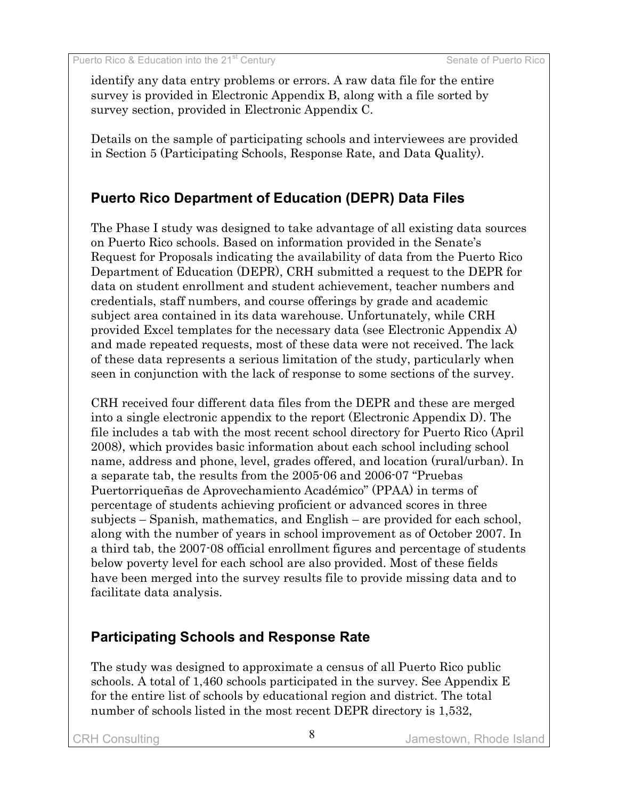identify any data entry problems or errors. A raw data file for the entire survey is provided in Electronic Appendix B, along with a file sorted by survey section, provided in Electronic Appendix C.

Details on the sample of participating schools and interviewees are provided in Section 5 (Participating Schools, Response Rate, and Data Quality).

# **Puerto Rico Department of Education (DEPR) Data Files**

The Phase I study was designed to take advantage of all existing data sources on Puerto Rico schools. Based on information provided in the Senate's Request for Proposals indicating the availability of data from the Puerto Rico Department of Education (DEPR), CRH submitted a request to the DEPR for data on student enrollment and student achievement, teacher numbers and credentials, staff numbers, and course offerings by grade and academic subject area contained in its data warehouse. Unfortunately, while CRH provided Excel templates for the necessary data (see Electronic Appendix A) and made repeated requests, most of these data were not received. The lack of these data represents a serious limitation of the study, particularly when seen in conjunction with the lack of response to some sections of the survey.

CRH received four different data files from the DEPR and these are merged into a single electronic appendix to the report (Electronic Appendix D). The file includes a tab with the most recent school directory for Puerto Rico (April 2008), which provides basic information about each school including school name, address and phone, level, grades offered, and location (rural/urban). In a separate tab, the results from the 2005-06 and 2006-07 "Pruebas Puertorriqueñas de Aprovechamiento Académico" (PPAA) in terms of percentage of students achieving proficient or advanced scores in three subjects – Spanish, mathematics, and English – are provided for each school, along with the number of years in school improvement as of October 2007. In a third tab, the 2007-08 official enrollment figures and percentage of students below poverty level for each school are also provided. Most of these fields have been merged into the survey results file to provide missing data and to facilitate data analysis.

# **Participating Schools and Response Rate**

The study was designed to approximate a census of all Puerto Rico public schools. A total of 1,460 schools participated in the survey. See Appendix E for the entire list of schools by educational region and district. The total number of schools listed in the most recent DEPR directory is 1,532,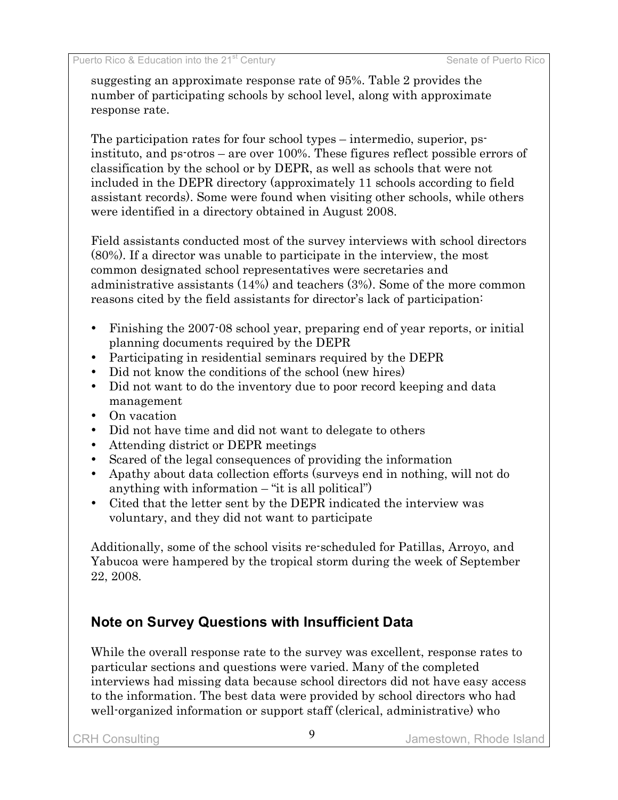suggesting an approximate response rate of 95%. Table 2 provides the number of participating schools by school level, along with approximate response rate.

The participation rates for four school types – intermedio, superior, psinstituto, and ps-otros – are over 100%. These figures reflect possible errors of classification by the school or by DEPR, as well as schools that were not included in the DEPR directory (approximately 11 schools according to field assistant records). Some were found when visiting other schools, while others were identified in a directory obtained in August 2008.

Field assistants conducted most of the survey interviews with school directors (80%). If a director was unable to participate in the interview, the most common designated school representatives were secretaries and administrative assistants (14%) and teachers (3%). Some of the more common reasons cited by the field assistants for director's lack of participation:

- Finishing the 2007-08 school year, preparing end of year reports, or initial planning documents required by the DEPR
- Participating in residential seminars required by the DEPR
- Did not know the conditions of the school (new hires)
- Did not want to do the inventory due to poor record keeping and data management
- On vacation
- Did not have time and did not want to delegate to others
- Attending district or DEPR meetings
- Scared of the legal consequences of providing the information
- Apathy about data collection efforts (surveys end in nothing, will not do anything with information  $-$  "it is all political")
- Cited that the letter sent by the DEPR indicated the interview was voluntary, and they did not want to participate

Additionally, some of the school visits re-scheduled for Patillas, Arroyo, and Yabucoa were hampered by the tropical storm during the week of September 22, 2008.

# **Note on Survey Questions with Insufficient Data**

While the overall response rate to the survey was excellent, response rates to particular sections and questions were varied. Many of the completed interviews had missing data because school directors did not have easy access to the information. The best data were provided by school directors who had well-organized information or support staff (clerical, administrative) who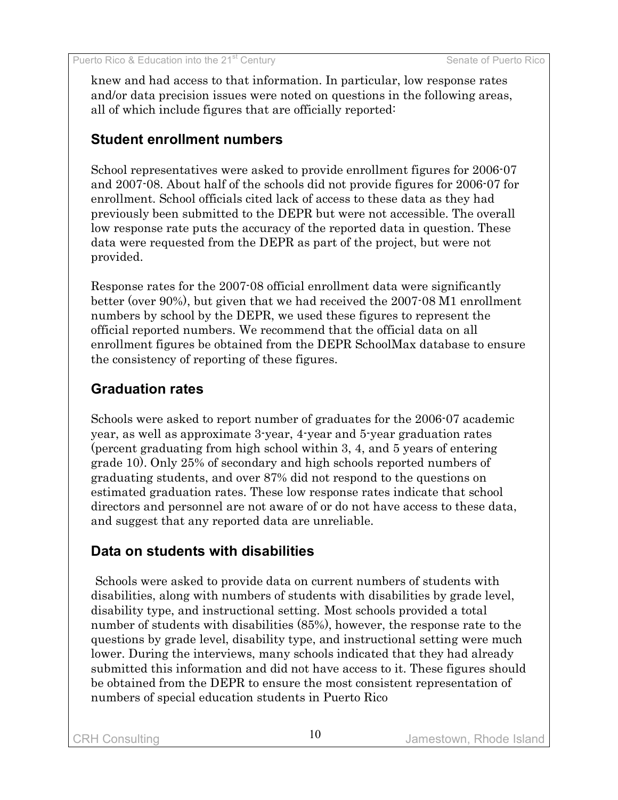knew and had access to that information. In particular, low response rates and/or data precision issues were noted on questions in the following areas, all of which include figures that are officially reported:

### **Student enrollment numbers**

School representatives were asked to provide enrollment figures for 2006-07 and 2007-08. About half of the schools did not provide figures for 2006-07 for enrollment. School officials cited lack of access to these data as they had previously been submitted to the DEPR but were not accessible. The overall low response rate puts the accuracy of the reported data in question. These data were requested from the DEPR as part of the project, but were not provided.

Response rates for the 2007-08 official enrollment data were significantly better (over 90%), but given that we had received the 2007-08 M1 enrollment numbers by school by the DEPR, we used these figures to represent the official reported numbers. We recommend that the official data on all enrollment figures be obtained from the DEPR SchoolMax database to ensure the consistency of reporting of these figures.

# **Graduation rates**

Schools were asked to report number of graduates for the 2006-07 academic year, as well as approximate 3-year, 4-year and 5-year graduation rates (percent graduating from high school within 3, 4, and 5 years of entering grade 10). Only 25% of secondary and high schools reported numbers of graduating students, and over 87% did not respond to the questions on estimated graduation rates. These low response rates indicate that school directors and personnel are not aware of or do not have access to these data, and suggest that any reported data are unreliable.

### **Data on students with disabilities**

 Schools were asked to provide data on current numbers of students with disabilities, along with numbers of students with disabilities by grade level, disability type, and instructional setting. Most schools provided a total number of students with disabilities (85%), however, the response rate to the questions by grade level, disability type, and instructional setting were much lower. During the interviews, many schools indicated that they had already submitted this information and did not have access to it. These figures should be obtained from the DEPR to ensure the most consistent representation of numbers of special education students in Puerto Rico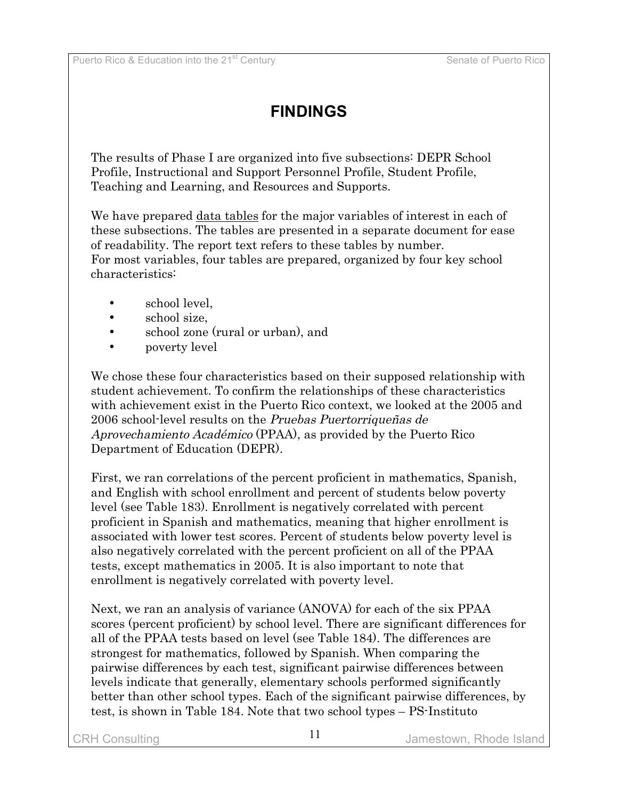# **FINDINGS**

The results of Phase I are organized into five subsections: DEPR School Profile, Instructional and Support Personnel Profile, Student Profile, Teaching and Learning, and Resources and Supports.

We have prepared data tables for the major variables of interest in each of these subsections. The tables are presented in a separate document for ease of readability. The report text refers to these tables by number. For most variables, four tables are prepared, organized by four key school characteristics:

- school level,
- school size,
- school zone (rural or urban), and
- **poverty level**

We chose these four characteristics based on their supposed relationship with student achievement. To confirm the relationships of these characteristics with achievement exist in the Puerto Rico context, we looked at the 2005 and 2006 school-level results on the Pruebas Puertorriqueñas de Aprovechamiento Académico (PPAA), as provided by the Puerto Rico Department of Education (DEPR).

First, we ran correlations of the percent proficient in mathematics, Spanish, and English with school enrollment and percent of students below poverty level (see Table 183). Enrollment is negatively correlated with percent proficient in Spanish and mathematics, meaning that higher enrollment is associated with lower test scores. Percent of students below poverty level is also negatively correlated with the percent proficient on all of the PPAA tests, except mathematics in 2005. It is also important to note that enrollment is negatively correlated with poverty level.

Next, we ran an analysis of variance (ANOVA) for each of the six PPAA scores (percent proficient) by school level. There are significant differences for all of the PPAA tests based on level (see Table 184). The differences are strongest for mathematics, followed by Spanish. When comparing the pairwise differences by each test, significant pairwise differences between levels indicate that generally, elementary schools performed significantly better than other school types. Each of the significant pairwise differences, by test, is shown in Table 184. Note that two school types – PS-Instituto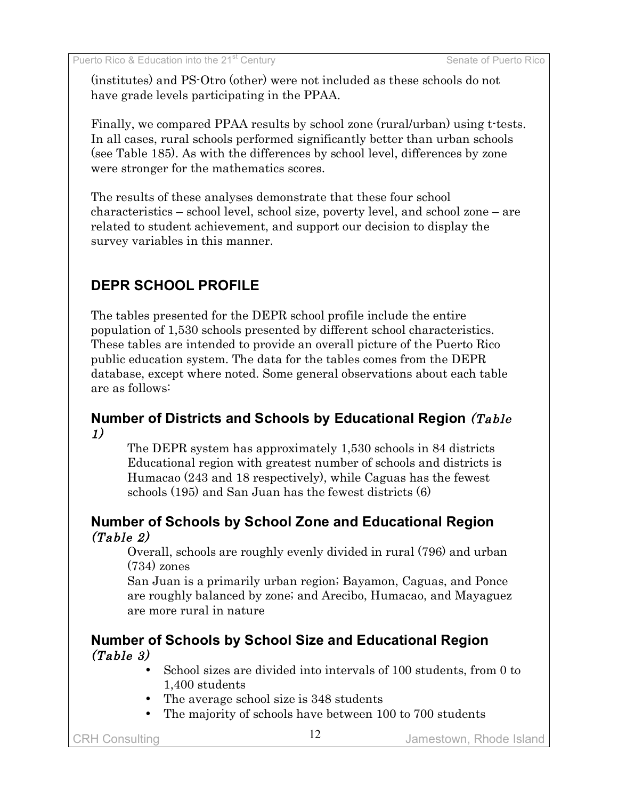(institutes) and PS-Otro (other) were not included as these schools do not have grade levels participating in the PPAA.

Finally, we compared PPAA results by school zone (rural/urban) using t-tests. In all cases, rural schools performed significantly better than urban schools (see Table 185). As with the differences by school level, differences by zone were stronger for the mathematics scores.

The results of these analyses demonstrate that these four school characteristics – school level, school size, poverty level, and school zone – are related to student achievement, and support our decision to display the survey variables in this manner.

# **DEPR SCHOOL PROFILE**

The tables presented for the DEPR school profile include the entire population of 1,530 schools presented by different school characteristics. These tables are intended to provide an overall picture of the Puerto Rico public education system. The data for the tables comes from the DEPR database, except where noted. Some general observations about each table are as follows:

### **Number of Districts and Schools by Educational Region** (Table 1)

The DEPR system has approximately 1,530 schools in 84 districts Educational region with greatest number of schools and districts is Humacao (243 and 18 respectively), while Caguas has the fewest schools (195) and San Juan has the fewest districts (6)

### **Number of Schools by School Zone and Educational Region** (Table 2)

Overall, schools are roughly evenly divided in rural (796) and urban (734) zones

San Juan is a primarily urban region; Bayamon, Caguas, and Ponce are roughly balanced by zone; and Arecibo, Humacao, and Mayaguez are more rural in nature

#### **Number of Schools by School Size and Educational Region** (Table 3)

- School sizes are divided into intervals of 100 students, from 0 to 1,400 students
- The average school size is 348 students
- The majority of schools have between 100 to 700 students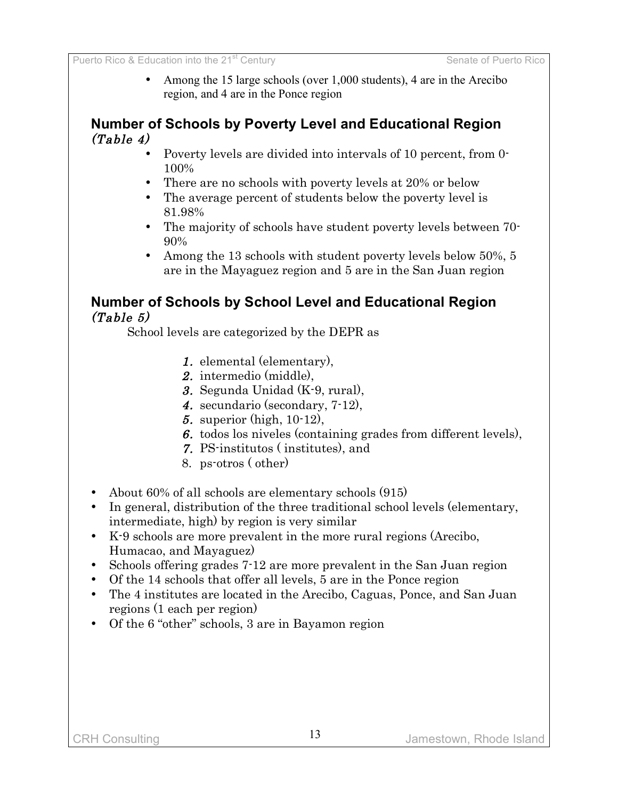• Among the 15 large schools (over 1,000 students), 4 are in the Arecibo region, and 4 are in the Ponce region

### **Number of Schools by Poverty Level and Educational Region**  $(Table 4)$

- Poverty levels are divided into intervals of 10 percent, from 0- 100%
- There are no schools with poverty levels at 20% or below
- The average percent of students below the poverty level is 81.98%
- The majority of schools have student poverty levels between 70- 90%
- Among the 13 schools with student poverty levels below 50%, 5 are in the Mayaguez region and 5 are in the San Juan region

### **Number of Schools by School Level and Educational Region** (Table 5)

School levels are categorized by the DEPR as

- 1. elemental (elementary),
- 2. intermedio (middle),
- 3. Segunda Unidad (K-9, rural),
- 4. secundario (secondary, 7-12),
- 5. superior (high, 10-12),
- 6. todos los niveles (containing grades from different levels),
- 7. PS-institutos ( institutes), and
- 8. ps-otros ( other)
- About 60% of all schools are elementary schools (915)
- In general, distribution of the three traditional school levels (elementary, intermediate, high) by region is very similar
- K-9 schools are more prevalent in the more rural regions (Arecibo, Humacao, and Mayaguez)
- Schools offering grades 7-12 are more prevalent in the San Juan region
- Of the 14 schools that offer all levels, 5 are in the Ponce region
- The 4 institutes are located in the Arecibo, Caguas, Ponce, and San Juan regions (1 each per region)
- Of the 6 "other" schools, 3 are in Bayamon region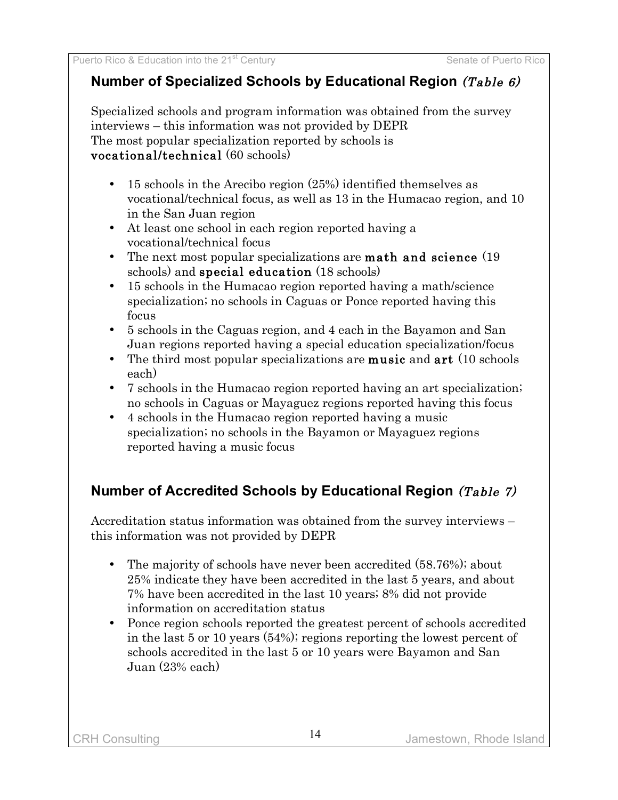# **Number of Specialized Schools by Educational Region** (Table 6)

Specialized schools and program information was obtained from the survey interviews – this information was not provided by DEPR The most popular specialization reported by schools is vocational/technical (60 schools)

- 15 schools in the Arecibo region (25%) identified themselves as vocational/technical focus, as well as 13 in the Humacao region, and 10 in the San Juan region
- At least one school in each region reported having a vocational/technical focus
- The next most popular specializations are **math and science** (19) schools) and special education (18 schools)
- 15 schools in the Humacao region reported having a math/science specialization; no schools in Caguas or Ponce reported having this focus
- 5 schools in the Caguas region, and 4 each in the Bayamon and San Juan regions reported having a special education specialization/focus
- The third most popular specializations are **music** and  $art(10$  schools each)
- 7 schools in the Humacao region reported having an art specialization; no schools in Caguas or Mayaguez regions reported having this focus
- 4 schools in the Humacao region reported having a music specialization; no schools in the Bayamon or Mayaguez regions reported having a music focus

# **Number of Accredited Schools by Educational Region** (Table 7)

Accreditation status information was obtained from the survey interviews – this information was not provided by DEPR

- The majority of schools have never been accredited (58.76%); about 25% indicate they have been accredited in the last 5 years, and about 7% have been accredited in the last 10 years; 8% did not provide information on accreditation status
- Ponce region schools reported the greatest percent of schools accredited in the last 5 or 10 years (54%); regions reporting the lowest percent of schools accredited in the last 5 or 10 years were Bayamon and San Juan (23% each)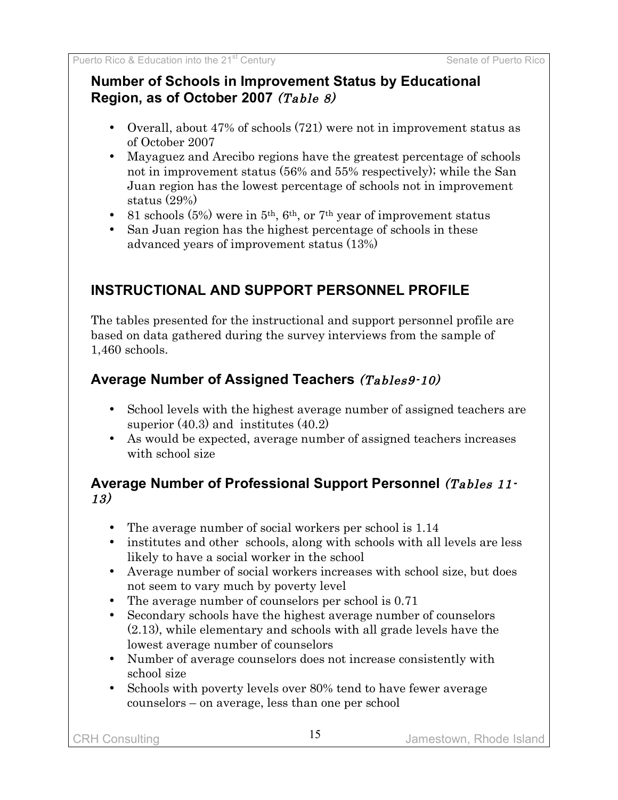### **Number of Schools in Improvement Status by Educational Region, as of October 2007** (Table 8)

- Overall, about 47% of schools (721) were not in improvement status as of October 2007
- Mayaguez and Arecibo regions have the greatest percentage of schools not in improvement status (56% and 55% respectively); while the San Juan region has the lowest percentage of schools not in improvement status (29%)
- 81 schools  $(5%)$  were in  $5<sup>th</sup>$ ,  $6<sup>th</sup>$ , or  $7<sup>th</sup>$  year of improvement status
- San Juan region has the highest percentage of schools in these advanced years of improvement status (13%)

# **INSTRUCTIONAL AND SUPPORT PERSONNEL PROFILE**

The tables presented for the instructional and support personnel profile are based on data gathered during the survey interviews from the sample of 1,460 schools.

# **Average Number of Assigned Teachers** (Tables9-10)

- School levels with the highest average number of assigned teachers are superior (40.3) and institutes (40.2)
- As would be expected, average number of assigned teachers increases with school size

### **Average Number of Professional Support Personnel** (Tables 11- 13)

- The average number of social workers per school is 1.14
- institutes and other schools, along with schools with all levels are less likely to have a social worker in the school
- Average number of social workers increases with school size, but does not seem to vary much by poverty level
- The average number of counselors per school is 0.71
- Secondary schools have the highest average number of counselors (2.13), while elementary and schools with all grade levels have the lowest average number of counselors
- Number of average counselors does not increase consistently with school size
- Schools with poverty levels over 80% tend to have fewer average counselors – on average, less than one per school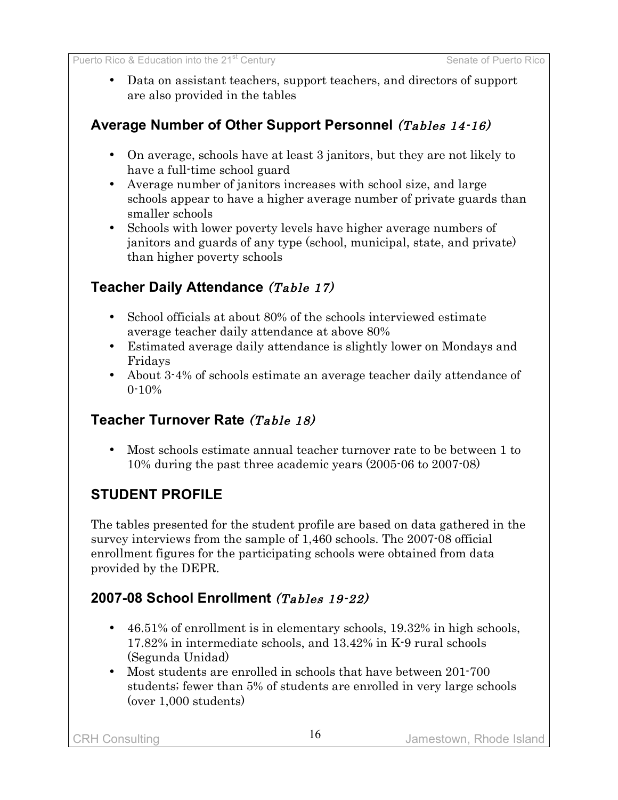• Data on assistant teachers, support teachers, and directors of support are also provided in the tables

# **Average Number of Other Support Personnel** (Tables 14-16)

- On average, schools have at least 3 janitors, but they are not likely to have a full-time school guard
- Average number of janitors increases with school size, and large schools appear to have a higher average number of private guards than smaller schools
- Schools with lower poverty levels have higher average numbers of janitors and guards of any type (school, municipal, state, and private) than higher poverty schools

### **Teacher Daily Attendance** (Table 17)

- School officials at about 80% of the schools interviewed estimate average teacher daily attendance at above 80%
- Estimated average daily attendance is slightly lower on Mondays and Fridays
- About 3-4% of schools estimate an average teacher daily attendance of 0-10%

### **Teacher Turnover Rate** (Table 18)

• Most schools estimate annual teacher turnover rate to be between 1 to 10% during the past three academic years (2005-06 to 2007-08)

# **STUDENT PROFILE**

The tables presented for the student profile are based on data gathered in the survey interviews from the sample of 1,460 schools. The 2007-08 official enrollment figures for the participating schools were obtained from data provided by the DEPR.

# **2007-08 School Enrollment** (Tables 19-22)

- 46.51% of enrollment is in elementary schools, 19.32% in high schools, 17.82% in intermediate schools, and 13.42% in K-9 rural schools (Segunda Unidad)
- Most students are enrolled in schools that have between 201-700 students; fewer than 5% of students are enrolled in very large schools (over 1,000 students)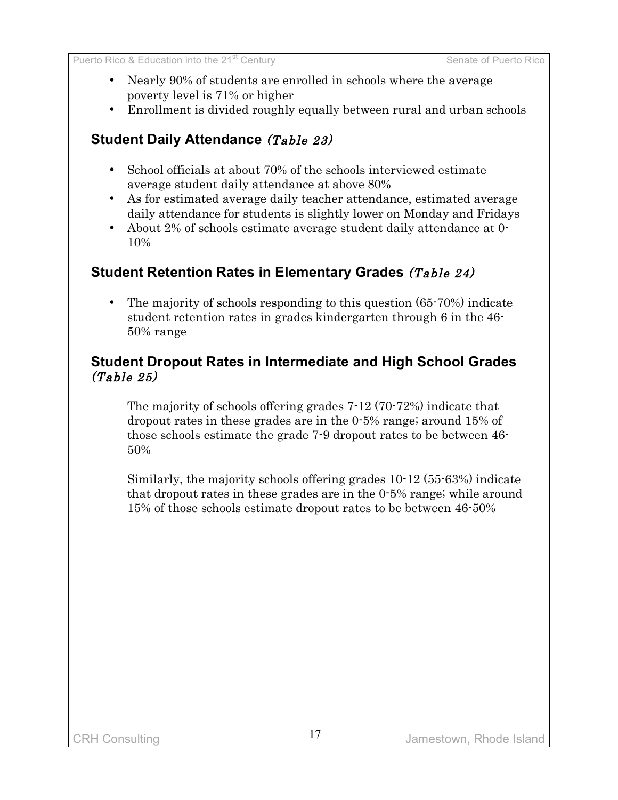- Nearly 90% of students are enrolled in schools where the average poverty level is 71% or higher
- Enrollment is divided roughly equally between rural and urban schools

### **Student Daily Attendance** (Table 23)

- School officials at about 70% of the schools interviewed estimate average student daily attendance at above 80%
- As for estimated average daily teacher attendance, estimated average daily attendance for students is slightly lower on Monday and Fridays
- About 2% of schools estimate average student daily attendance at 0- 10%

### **Student Retention Rates in Elementary Grades** (Table 24)

• The majority of schools responding to this question (65-70%) indicate student retention rates in grades kindergarten through 6 in the 46- 50% range

#### **Student Dropout Rates in Intermediate and High School Grades** (Table 25)

The majority of schools offering grades 7-12 (70-72%) indicate that dropout rates in these grades are in the 0-5% range; around 15% of those schools estimate the grade 7-9 dropout rates to be between 46- 50%

Similarly, the majority schools offering grades 10-12 (55-63%) indicate that dropout rates in these grades are in the 0-5% range; while around 15% of those schools estimate dropout rates to be between 46-50%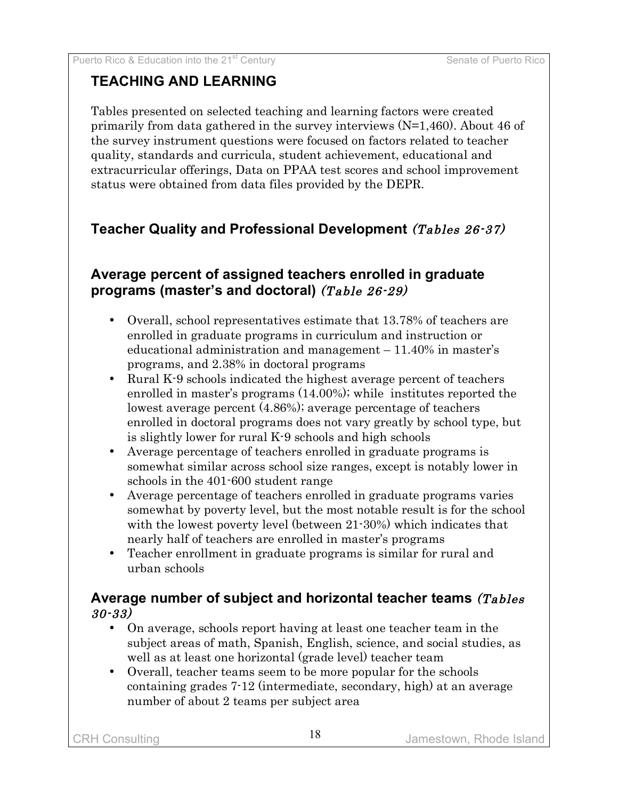### **TEACHING AND LEARNING**

Tables presented on selected teaching and learning factors were created primarily from data gathered in the survey interviews (N=1,460). About 46 of the survey instrument questions were focused on factors related to teacher quality, standards and curricula, student achievement, educational and extracurricular offerings, Data on PPAA test scores and school improvement status were obtained from data files provided by the DEPR.

# **Teacher Quality and Professional Development** (Tables 26-37)

### **Average percent of assigned teachers enrolled in graduate programs (master's and doctoral)** (Table 26-29)

- Overall, school representatives estimate that 13.78% of teachers are enrolled in graduate programs in curriculum and instruction or educational administration and management – 11.40% in master's programs, and 2.38% in doctoral programs
- Rural K-9 schools indicated the highest average percent of teachers enrolled in master's programs (14.00%); while institutes reported the lowest average percent (4.86%); average percentage of teachers enrolled in doctoral programs does not vary greatly by school type, but is slightly lower for rural K-9 schools and high schools
- Average percentage of teachers enrolled in graduate programs is somewhat similar across school size ranges, except is notably lower in schools in the 401-600 student range
- Average percentage of teachers enrolled in graduate programs varies somewhat by poverty level, but the most notable result is for the school with the lowest poverty level (between 21-30%) which indicates that nearly half of teachers are enrolled in master's programs
- Teacher enrollment in graduate programs is similar for rural and urban schools

#### **Average number of subject and horizontal teacher teams** (Tables 30-33)

- On average, schools report having at least one teacher team in the subject areas of math, Spanish, English, science, and social studies, as well as at least one horizontal (grade level) teacher team
- Overall, teacher teams seem to be more popular for the schools containing grades 7-12 (intermediate, secondary, high) at an average number of about 2 teams per subject area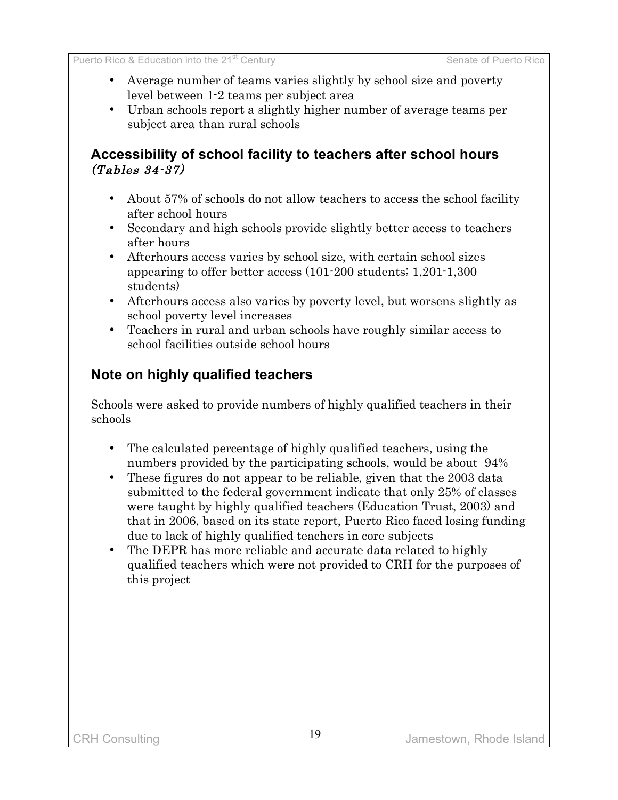- Average number of teams varies slightly by school size and poverty level between 1-2 teams per subject area
- Urban schools report a slightly higher number of average teams per subject area than rural schools

#### **Accessibility of school facility to teachers after school hours** (Tables 34-37)

- About 57% of schools do not allow teachers to access the school facility after school hours
- Secondary and high schools provide slightly better access to teachers after hours
- Afterhours access varies by school size, with certain school sizes appearing to offer better access (101-200 students; 1,201-1,300 students)
- Afterhours access also varies by poverty level, but worsens slightly as school poverty level increases
- Teachers in rural and urban schools have roughly similar access to school facilities outside school hours

### **Note on highly qualified teachers**

Schools were asked to provide numbers of highly qualified teachers in their schools

- The calculated percentage of highly qualified teachers, using the numbers provided by the participating schools, would be about 94%
- These figures do not appear to be reliable, given that the 2003 data submitted to the federal government indicate that only 25% of classes were taught by highly qualified teachers (Education Trust, 2003) and that in 2006, based on its state report, Puerto Rico faced losing funding due to lack of highly qualified teachers in core subjects
- The DEPR has more reliable and accurate data related to highly qualified teachers which were not provided to CRH for the purposes of this project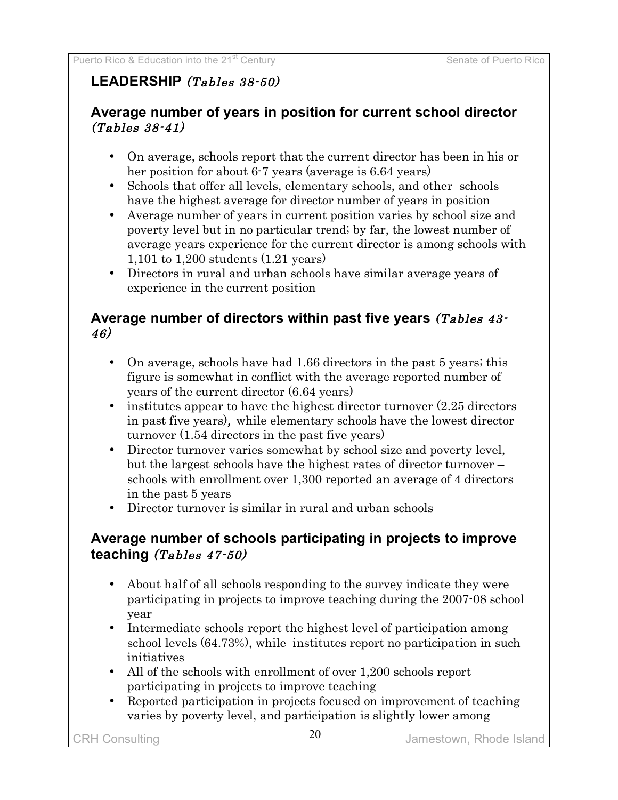### **LEADERSHIP** (Tables 38-50)

### **Average number of years in position for current school director**  $(Tables 38-41)$

- On average, schools report that the current director has been in his or her position for about 6-7 years (average is 6.64 years)
- Schools that offer all levels, elementary schools, and other schools have the highest average for director number of years in position
- Average number of years in current position varies by school size and poverty level but in no particular trend; by far, the lowest number of average years experience for the current director is among schools with 1,101 to 1,200 students (1.21 years)
- Directors in rural and urban schools have similar average years of experience in the current position

#### **Average number of directors within past five years** (Tables 43- 46)

- On average, schools have had 1.66 directors in the past 5 years; this figure is somewhat in conflict with the average reported number of years of the current director (6.64 years)
- institutes appear to have the highest director turnover  $(2.25$  directors in past five years), while elementary schools have the lowest director turnover (1.54 directors in the past five years)
- Director turnover varies somewhat by school size and poverty level, but the largest schools have the highest rates of director turnover – schools with enrollment over 1,300 reported an average of 4 directors in the past 5 years
- Director turnover is similar in rural and urban schools

### **Average number of schools participating in projects to improve teaching** (Tables 47-50)

- About half of all schools responding to the survey indicate they were participating in projects to improve teaching during the 2007-08 school year
- Intermediate schools report the highest level of participation among school levels (64.73%), while institutes report no participation in such initiatives
- All of the schools with enrollment of over 1,200 schools report participating in projects to improve teaching
- Reported participation in projects focused on improvement of teaching varies by poverty level, and participation is slightly lower among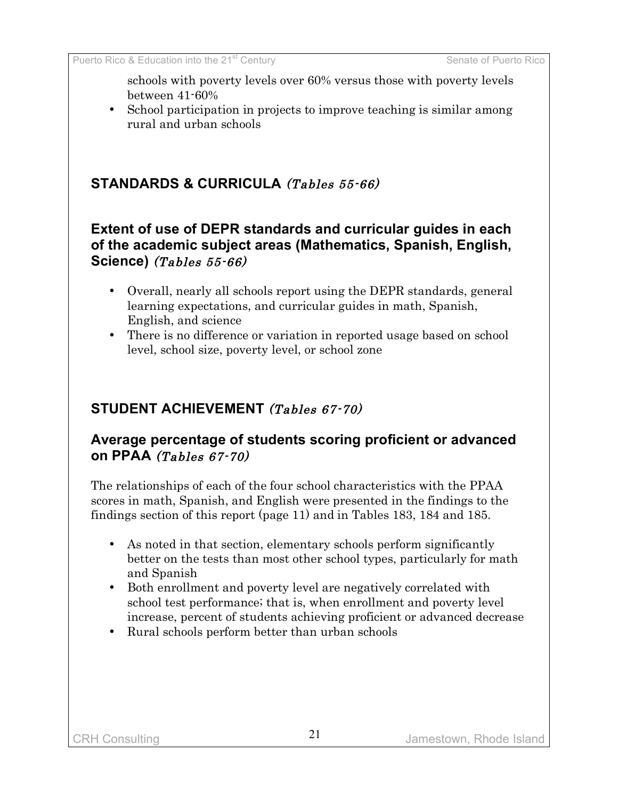schools with poverty levels over 60% versus those with poverty levels between 41-60%

• School participation in projects to improve teaching is similar among rural and urban schools

### **STANDARDS & CURRICULA** (Tables 55-66)

### **Extent of use of DEPR standards and curricular guides in each of the academic subject areas (Mathematics, Spanish, English, Science)** (Tables 55-66)

- Overall, nearly all schools report using the DEPR standards, general learning expectations, and curricular guides in math, Spanish, English, and science
- There is no difference or variation in reported usage based on school level, school size, poverty level, or school zone

### **STUDENT ACHIEVEMENT** (Tables 67-70)

### **Average percentage of students scoring proficient or advanced on PPAA** (Tables 67-70)

The relationships of each of the four school characteristics with the PPAA scores in math, Spanish, and English were presented in the findings to the findings section of this report (page 11) and in Tables 183, 184 and 185.

- As noted in that section, elementary schools perform significantly better on the tests than most other school types, particularly for math and Spanish
- Both enrollment and poverty level are negatively correlated with school test performance; that is, when enrollment and poverty level increase, percent of students achieving proficient or advanced decrease
- Rural schools perform better than urban schools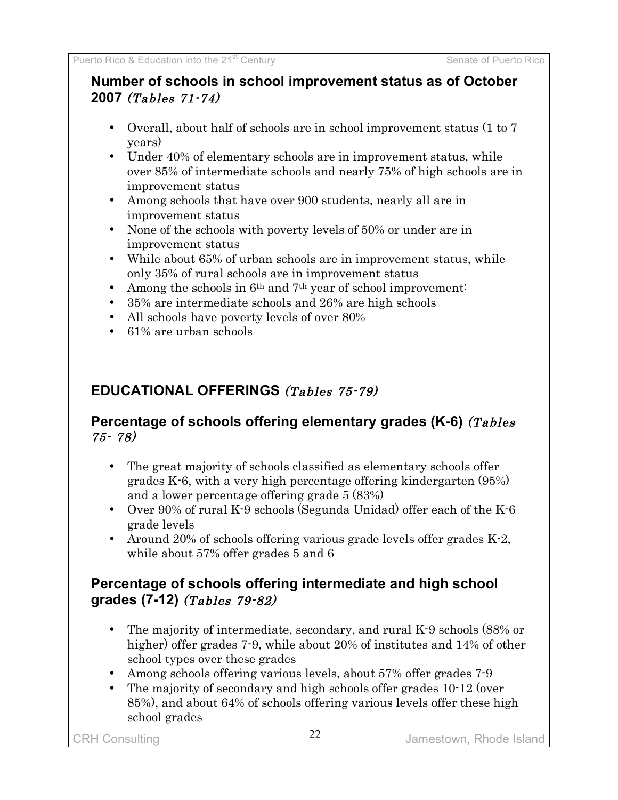# **Number of schools in school improvement status as of October 2007** (Tables 71-74)

- Overall, about half of schools are in school improvement status (1 to 7 years)
- Under 40% of elementary schools are in improvement status, while over 85% of intermediate schools and nearly 75% of high schools are in improvement status
- Among schools that have over 900 students, nearly all are in improvement status
- None of the schools with poverty levels of 50% or under are in improvement status
- While about 65% of urban schools are in improvement status, while only 35% of rural schools are in improvement status
- Among the schools in 6<sup>th</sup> and 7<sup>th</sup> year of school improvement:
- 35% are intermediate schools and 26% are high schools
- All schools have poverty levels of over 80%
- 61% are urban schools

# **EDUCATIONAL OFFERINGS** (Tables 75-79)

### **Percentage of schools offering elementary grades (K-6)** (Tables 75- 78)

- The great majority of schools classified as elementary schools offer grades K-6, with a very high percentage offering kindergarten (95%) and a lower percentage offering grade 5 (83%)
- Over 90% of rural K-9 schools (Segunda Unidad) offer each of the K-6 grade levels
- Around 20% of schools offering various grade levels offer grades K-2, while about 57% offer grades 5 and 6

# **Percentage of schools offering intermediate and high school grades (7-12)** (Tables 79-82)

- The majority of intermediate, secondary, and rural K-9 schools (88% or higher) offer grades 7-9, while about 20% of institutes and 14% of other school types over these grades
- Among schools offering various levels, about 57% offer grades 7-9
- The majority of secondary and high schools offer grades 10-12 (over 85%), and about 64% of schools offering various levels offer these high school grades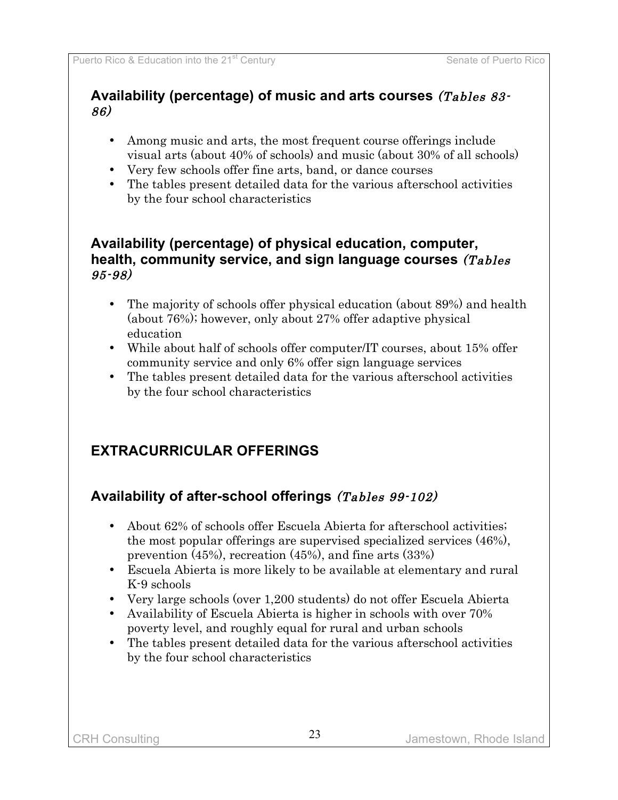### **Availability (percentage) of music and arts courses** (Tables 83- 86)

- Among music and arts, the most frequent course offerings include visual arts (about 40% of schools) and music (about 30% of all schools)
- Very few schools offer fine arts, band, or dance courses
- The tables present detailed data for the various afterschool activities by the four school characteristics

#### **Availability (percentage) of physical education, computer, health, community service, and sign language courses** (Tables 95-98)

- The majority of schools offer physical education (about 89%) and health (about 76%); however, only about 27% offer adaptive physical education
- While about half of schools offer computer/IT courses, about 15% offer community service and only 6% offer sign language services
- The tables present detailed data for the various afterschool activities by the four school characteristics

# **EXTRACURRICULAR OFFERINGS**

# **Availability of after-school offerings** (Tables 99-102)

- About 62% of schools offer Escuela Abierta for afterschool activities; the most popular offerings are supervised specialized services (46%), prevention (45%), recreation (45%), and fine arts (33%)
- Escuela Abierta is more likely to be available at elementary and rural K-9 schools
- Very large schools (over 1,200 students) do not offer Escuela Abierta
- Availability of Escuela Abierta is higher in schools with over 70% poverty level, and roughly equal for rural and urban schools
- The tables present detailed data for the various afterschool activities by the four school characteristics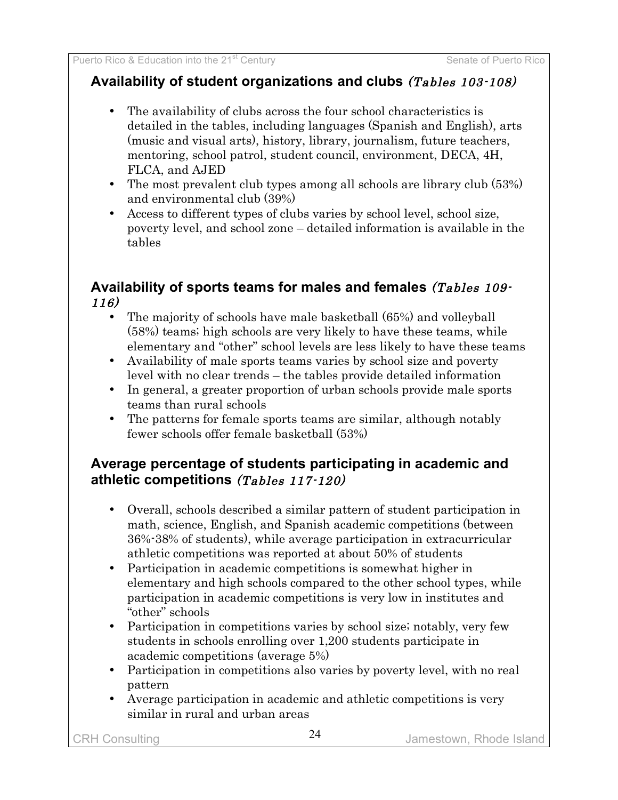### **Availability of student organizations and clubs** (Tables 103-108)

- The availability of clubs across the four school characteristics is detailed in the tables, including languages (Spanish and English), arts (music and visual arts), history, library, journalism, future teachers, mentoring, school patrol, student council, environment, DECA, 4H, FLCA, and AJED
- The most prevalent club types among all schools are library club (53%) and environmental club (39%)
- Access to different types of clubs varies by school level, school size, poverty level, and school zone – detailed information is available in the tables

### **Availability of sports teams for males and females** (Tables 109- 116)

- The majority of schools have male basketball (65%) and volleyball (58%) teams; high schools are very likely to have these teams, while elementary and "other" school levels are less likely to have these teams
- Availability of male sports teams varies by school size and poverty level with no clear trends – the tables provide detailed information
- In general, a greater proportion of urban schools provide male sports teams than rural schools
- The patterns for female sports teams are similar, although notably fewer schools offer female basketball (53%)

### **Average percentage of students participating in academic and athletic competitions** (Tables 117-120)

- Overall, schools described a similar pattern of student participation in math, science, English, and Spanish academic competitions (between 36%-38% of students), while average participation in extracurricular athletic competitions was reported at about 50% of students
- Participation in academic competitions is somewhat higher in elementary and high schools compared to the other school types, while participation in academic competitions is very low in institutes and "other" schools
- Participation in competitions varies by school size; notably, very few students in schools enrolling over 1,200 students participate in academic competitions (average 5%)
- Participation in competitions also varies by poverty level, with no real pattern
- Average participation in academic and athletic competitions is very similar in rural and urban areas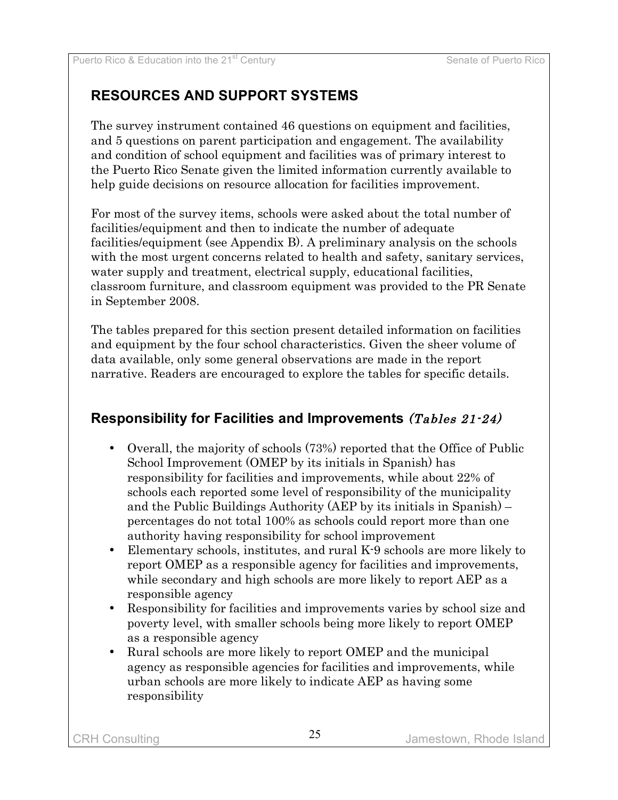# **RESOURCES AND SUPPORT SYSTEMS**

The survey instrument contained 46 questions on equipment and facilities, and 5 questions on parent participation and engagement. The availability and condition of school equipment and facilities was of primary interest to the Puerto Rico Senate given the limited information currently available to help guide decisions on resource allocation for facilities improvement.

For most of the survey items, schools were asked about the total number of facilities/equipment and then to indicate the number of adequate facilities/equipment (see Appendix B). A preliminary analysis on the schools with the most urgent concerns related to health and safety, sanitary services, water supply and treatment, electrical supply, educational facilities, classroom furniture, and classroom equipment was provided to the PR Senate in September 2008.

The tables prepared for this section present detailed information on facilities and equipment by the four school characteristics. Given the sheer volume of data available, only some general observations are made in the report narrative. Readers are encouraged to explore the tables for specific details.

# **Responsibility for Facilities and Improvements** (Tables 21-24)

- Overall, the majority of schools (73%) reported that the Office of Public School Improvement (OMEP by its initials in Spanish) has responsibility for facilities and improvements, while about 22% of schools each reported some level of responsibility of the municipality and the Public Buildings Authority (AEP by its initials in Spanish) – percentages do not total 100% as schools could report more than one authority having responsibility for school improvement
- Elementary schools, institutes, and rural K-9 schools are more likely to report OMEP as a responsible agency for facilities and improvements, while secondary and high schools are more likely to report AEP as a responsible agency
- Responsibility for facilities and improvements varies by school size and poverty level, with smaller schools being more likely to report OMEP as a responsible agency
- Rural schools are more likely to report OMEP and the municipal agency as responsible agencies for facilities and improvements, while urban schools are more likely to indicate AEP as having some responsibility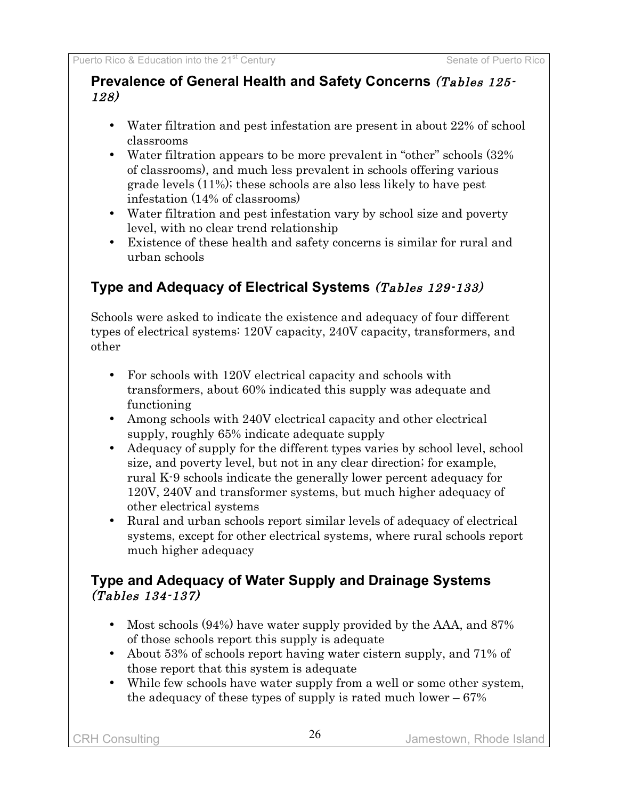#### **Prevalence of General Health and Safety Concerns** (Tables 125- 128)

- Water filtration and pest infestation are present in about 22% of school classrooms
- Water filtration appears to be more prevalent in "other" schools  $(32\%$ of classrooms), and much less prevalent in schools offering various grade levels (11%); these schools are also less likely to have pest infestation (14% of classrooms)
- Water filtration and pest infestation vary by school size and poverty level, with no clear trend relationship
- Existence of these health and safety concerns is similar for rural and urban schools

# **Type and Adequacy of Electrical Systems** (Tables 129-133)

Schools were asked to indicate the existence and adequacy of four different types of electrical systems: 120V capacity, 240V capacity, transformers, and other

- For schools with 120V electrical capacity and schools with transformers, about 60% indicated this supply was adequate and functioning
- Among schools with 240V electrical capacity and other electrical supply, roughly 65% indicate adequate supply
- Adequacy of supply for the different types varies by school level, school size, and poverty level, but not in any clear direction; for example, rural K-9 schools indicate the generally lower percent adequacy for 120V, 240V and transformer systems, but much higher adequacy of other electrical systems
- Rural and urban schools report similar levels of adequacy of electrical systems, except for other electrical systems, where rural schools report much higher adequacy

### **Type and Adequacy of Water Supply and Drainage Systems** (Tables 134-137)

- Most schools (94%) have water supply provided by the AAA, and 87% of those schools report this supply is adequate
- About 53% of schools report having water cistern supply, and 71% of those report that this system is adequate
- While few schools have water supply from a well or some other system, the adequacy of these types of supply is rated much lower – 67%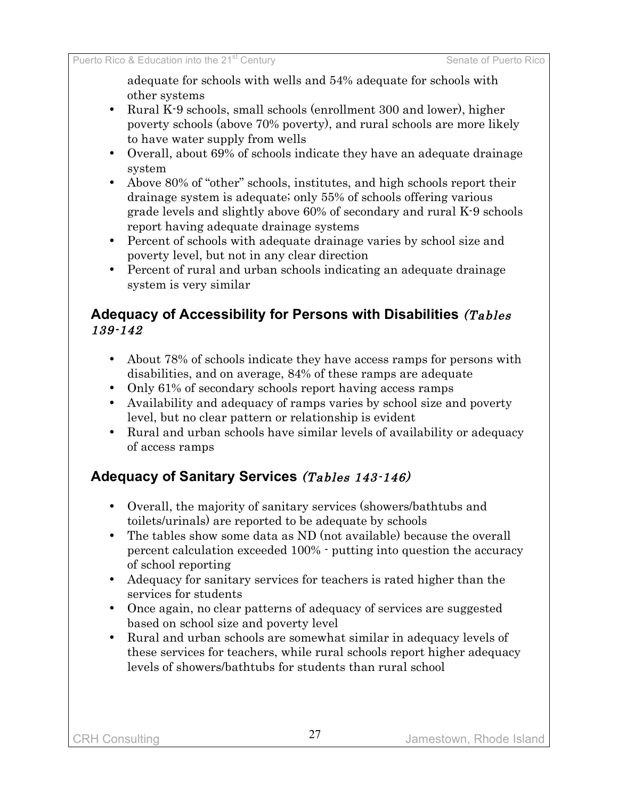adequate for schools with wells and 54% adequate for schools with other systems

- Rural K-9 schools, small schools (enrollment 300 and lower), higher poverty schools (above 70% poverty), and rural schools are more likely to have water supply from wells
- Overall, about 69% of schools indicate they have an adequate drainage system
- Above 80% of "other" schools, institutes, and high schools report their drainage system is adequate; only 55% of schools offering various grade levels and slightly above 60% of secondary and rural K-9 schools report having adequate drainage systems
- Percent of schools with adequate drainage varies by school size and poverty level, but not in any clear direction
- Percent of rural and urban schools indicating an adequate drainage system is very similar

#### **Adequacy of Accessibility for Persons with Disabilities** (Tables 139-142

- About 78% of schools indicate they have access ramps for persons with disabilities, and on average, 84% of these ramps are adequate
- Only 61% of secondary schools report having access ramps
- Availability and adequacy of ramps varies by school size and poverty level, but no clear pattern or relationship is evident
- Rural and urban schools have similar levels of availability or adequacy of access ramps

# **Adequacy of Sanitary Services** (Tables 143-146)

- Overall, the majority of sanitary services (showers/bathtubs and toilets/urinals) are reported to be adequate by schools
- The tables show some data as ND (not available) because the overall percent calculation exceeded 100% - putting into question the accuracy of school reporting
- Adequacy for sanitary services for teachers is rated higher than the services for students
- Once again, no clear patterns of adequacy of services are suggested based on school size and poverty level
- Rural and urban schools are somewhat similar in adequacy levels of these services for teachers, while rural schools report higher adequacy levels of showers/bathtubs for students than rural school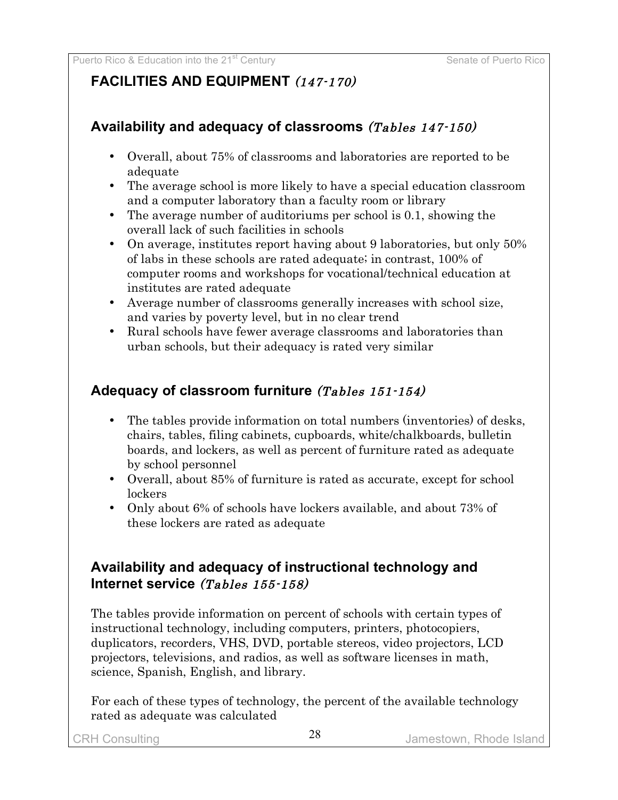# **FACILITIES AND EQUIPMENT** (147-170)

### **Availability and adequacy of classrooms** (Tables 147-150)

- Overall, about 75% of classrooms and laboratories are reported to be adequate
- The average school is more likely to have a special education classroom and a computer laboratory than a faculty room or library
- The average number of auditoriums per school is 0.1, showing the overall lack of such facilities in schools
- On average, institutes report having about 9 laboratories, but only 50% of labs in these schools are rated adequate; in contrast, 100% of computer rooms and workshops for vocational/technical education at institutes are rated adequate
- Average number of classrooms generally increases with school size, and varies by poverty level, but in no clear trend
- Rural schools have fewer average classrooms and laboratories than urban schools, but their adequacy is rated very similar

### **Adequacy of classroom furniture** (Tables 151-154)

- The tables provide information on total numbers (inventories) of desks, chairs, tables, filing cabinets, cupboards, white/chalkboards, bulletin boards, and lockers, as well as percent of furniture rated as adequate by school personnel
- Overall, about 85% of furniture is rated as accurate, except for school lockers
- Only about 6% of schools have lockers available, and about 73% of these lockers are rated as adequate

### **Availability and adequacy of instructional technology and Internet service** (Tables 155-158)

The tables provide information on percent of schools with certain types of instructional technology, including computers, printers, photocopiers, duplicators, recorders, VHS, DVD, portable stereos, video projectors, LCD projectors, televisions, and radios, as well as software licenses in math, science, Spanish, English, and library.

For each of these types of technology, the percent of the available technology rated as adequate was calculated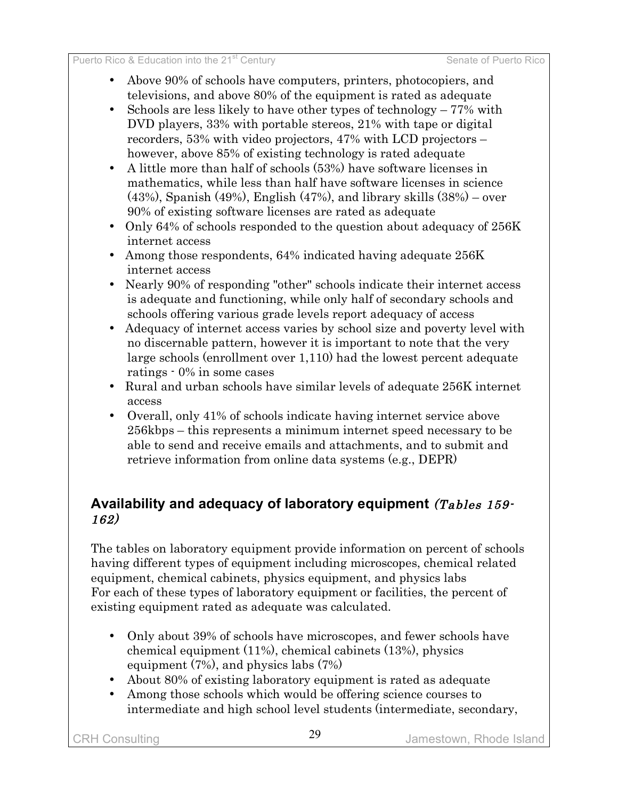- Above 90% of schools have computers, printers, photocopiers, and televisions, and above 80% of the equipment is rated as adequate
- Schools are less likely to have other types of technology 77% with DVD players, 33% with portable stereos, 21% with tape or digital recorders, 53% with video projectors, 47% with LCD projectors – however, above 85% of existing technology is rated adequate
- A little more than half of schools (53%) have software licenses in mathematics, while less than half have software licenses in science (43%), Spanish (49%), English (47%), and library skills (38%) – over 90% of existing software licenses are rated as adequate
- Only 64% of schools responded to the question about adequacy of 256K internet access
- Among those respondents, 64% indicated having adequate 256K internet access
- Nearly 90% of responding "other" schools indicate their internet access is adequate and functioning, while only half of secondary schools and schools offering various grade levels report adequacy of access
- Adequacy of internet access varies by school size and poverty level with no discernable pattern, however it is important to note that the very large schools (enrollment over 1,110) had the lowest percent adequate ratings - 0% in some cases
- Rural and urban schools have similar levels of adequate 256K internet access
- Overall, only 41% of schools indicate having internet service above 256kbps – this represents a minimum internet speed necessary to be able to send and receive emails and attachments, and to submit and retrieve information from online data systems (e.g., DEPR)

### **Availability and adequacy of laboratory equipment** (Tables 159- 162)

The tables on laboratory equipment provide information on percent of schools having different types of equipment including microscopes, chemical related equipment, chemical cabinets, physics equipment, and physics labs For each of these types of laboratory equipment or facilities, the percent of existing equipment rated as adequate was calculated.

- Only about 39% of schools have microscopes, and fewer schools have chemical equipment (11%), chemical cabinets (13%), physics equipment (7%), and physics labs (7%)
- About 80% of existing laboratory equipment is rated as adequate
- Among those schools which would be offering science courses to intermediate and high school level students (intermediate, secondary,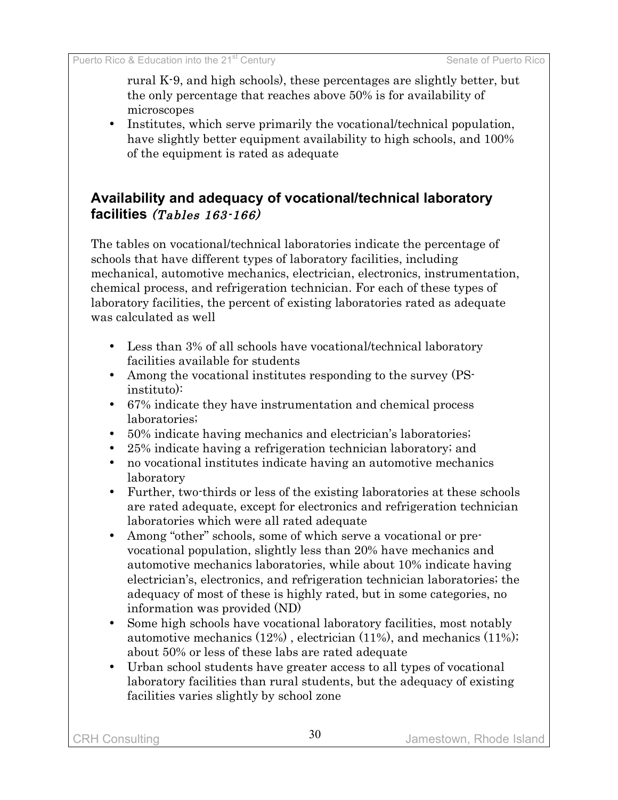rural K-9, and high schools), these percentages are slightly better, but the only percentage that reaches above 50% is for availability of microscopes

• Institutes, which serve primarily the vocational/technical population, have slightly better equipment availability to high schools, and 100% of the equipment is rated as adequate

### **Availability and adequacy of vocational/technical laboratory facilities** (Tables 163-166)

The tables on vocational/technical laboratories indicate the percentage of schools that have different types of laboratory facilities, including mechanical, automotive mechanics, electrician, electronics, instrumentation, chemical process, and refrigeration technician. For each of these types of laboratory facilities, the percent of existing laboratories rated as adequate was calculated as well

- Less than 3% of all schools have vocational/technical laboratory facilities available for students
- Among the vocational institutes responding to the survey (PSinstituto):
- 67% indicate they have instrumentation and chemical process laboratories;
- 50% indicate having mechanics and electrician's laboratories;
- 25% indicate having a refrigeration technician laboratory; and
- no vocational institutes indicate having an automotive mechanics laboratory
- Further, two-thirds or less of the existing laboratories at these schools are rated adequate, except for electronics and refrigeration technician laboratories which were all rated adequate
- Among "other" schools, some of which serve a vocational or prevocational population, slightly less than 20% have mechanics and automotive mechanics laboratories, while about 10% indicate having electrician's, electronics, and refrigeration technician laboratories; the adequacy of most of these is highly rated, but in some categories, no information was provided (ND)
- Some high schools have vocational laboratory facilities, most notably automotive mechanics (12%) , electrician (11%), and mechanics (11%); about 50% or less of these labs are rated adequate
- Urban school students have greater access to all types of vocational laboratory facilities than rural students, but the adequacy of existing facilities varies slightly by school zone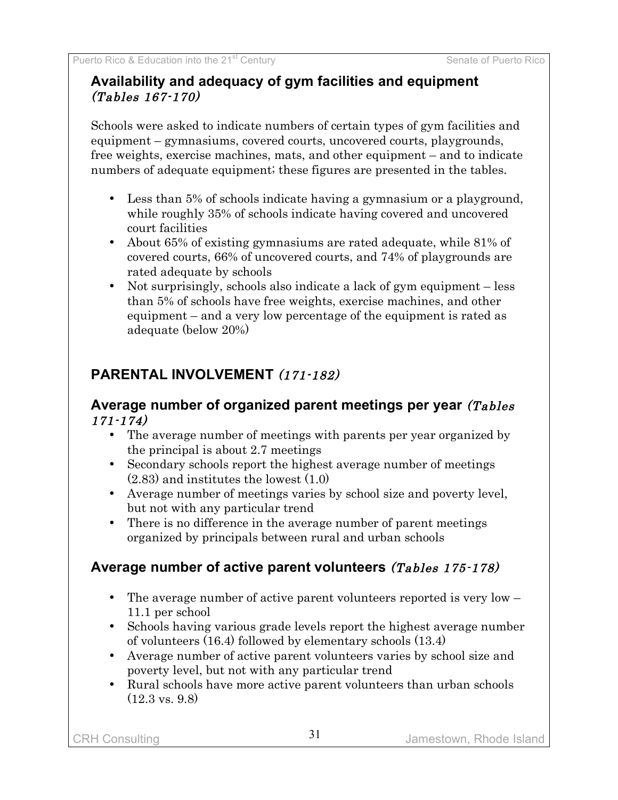### **Availability and adequacy of gym facilities and equipment** (Tables 167-170)

Schools were asked to indicate numbers of certain types of gym facilities and equipment – gymnasiums, covered courts, uncovered courts, playgrounds, free weights, exercise machines, mats, and other equipment – and to indicate numbers of adequate equipment; these figures are presented in the tables.

- Less than 5% of schools indicate having a gymnasium or a playground, while roughly 35% of schools indicate having covered and uncovered court facilities
- About 65% of existing gymnasiums are rated adequate, while 81% of covered courts, 66% of uncovered courts, and 74% of playgrounds are rated adequate by schools
- Not surprisingly, schools also indicate a lack of gym equipment less than 5% of schools have free weights, exercise machines, and other equipment – and a very low percentage of the equipment is rated as adequate (below 20%)

# **PARENTAL INVOLVEMENT** (171-182)

#### **Average number of organized parent meetings per year** (Tables 171-174)

- The average number of meetings with parents per year organized by the principal is about 2.7 meetings
- Secondary schools report the highest average number of meetings (2.83) and institutes the lowest (1.0)
- Average number of meetings varies by school size and poverty level, but not with any particular trend
- There is no difference in the average number of parent meetings organized by principals between rural and urban schools

# **Average number of active parent volunteers** (Tables 175-178)

- The average number of active parent volunteers reported is very low 11.1 per school
- Schools having various grade levels report the highest average number of volunteers (16.4) followed by elementary schools (13.4)
- Average number of active parent volunteers varies by school size and poverty level, but not with any particular trend
- Rural schools have more active parent volunteers than urban schools  $(12.3 \text{ vs. } 9.8)$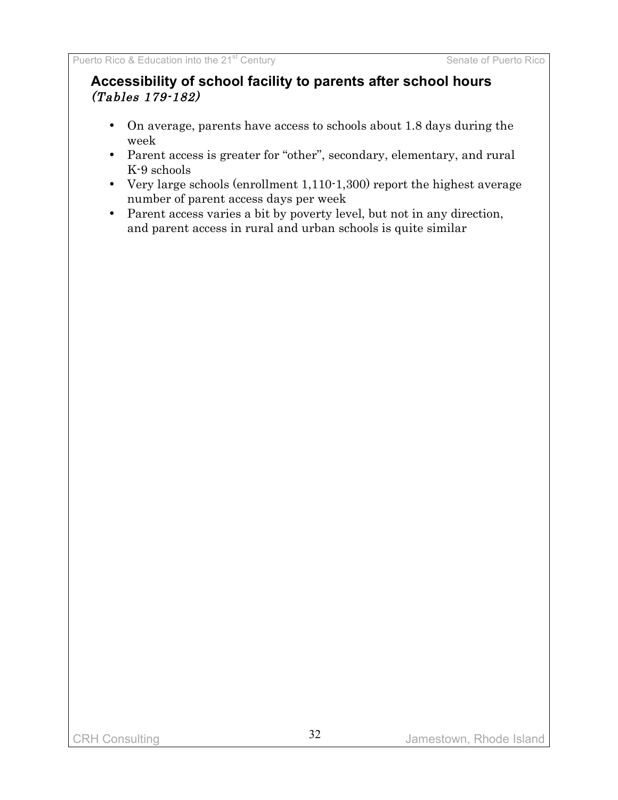### **Accessibility of school facility to parents after school hours** (Tables 179-182)

- On average, parents have access to schools about 1.8 days during the week
- Parent access is greater for "other", secondary, elementary, and rural K-9 schools
- Very large schools (enrollment 1,110-1,300) report the highest average number of parent access days per week
- Parent access varies a bit by poverty level, but not in any direction, and parent access in rural and urban schools is quite similar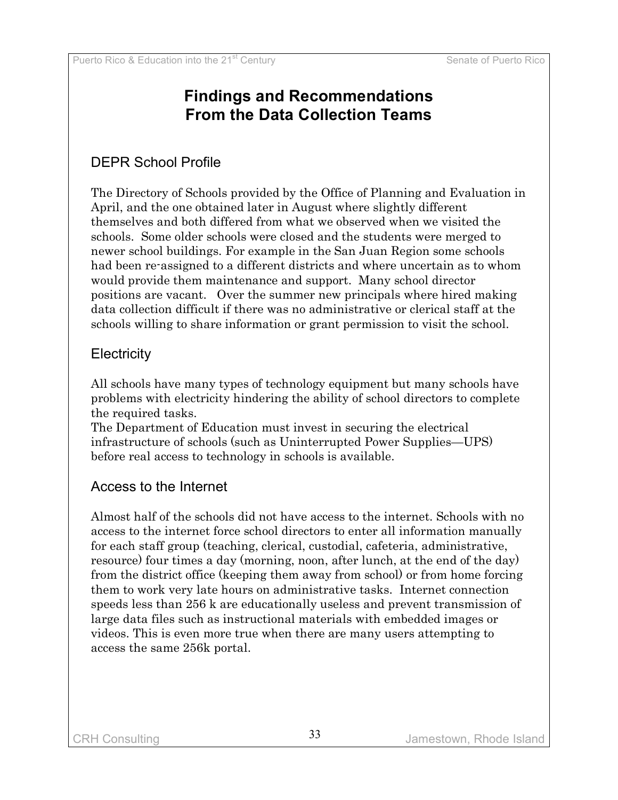# **Findings and Recommendations From the Data Collection Teams**

# DEPR School Profile

The Directory of Schools provided by the Office of Planning and Evaluation in April, and the one obtained later in August where slightly different themselves and both differed from what we observed when we visited the schools. Some older schools were closed and the students were merged to newer school buildings. For example in the San Juan Region some schools had been re-assigned to a different districts and where uncertain as to whom would provide them maintenance and support. Many school director positions are vacant. Over the summer new principals where hired making data collection difficult if there was no administrative or clerical staff at the schools willing to share information or grant permission to visit the school.

### **Electricity**

All schools have many types of technology equipment but many schools have problems with electricity hindering the ability of school directors to complete the required tasks.

The Department of Education must invest in securing the electrical infrastructure of schools (such as Uninterrupted Power Supplies—UPS) before real access to technology in schools is available.

### Access to the Internet

Almost half of the schools did not have access to the internet. Schools with no access to the internet force school directors to enter all information manually for each staff group (teaching, clerical, custodial, cafeteria, administrative, resource) four times a day (morning, noon, after lunch, at the end of the day) from the district office (keeping them away from school) or from home forcing them to work very late hours on administrative tasks. Internet connection speeds less than 256 k are educationally useless and prevent transmission of large data files such as instructional materials with embedded images or videos. This is even more true when there are many users attempting to access the same 256k portal.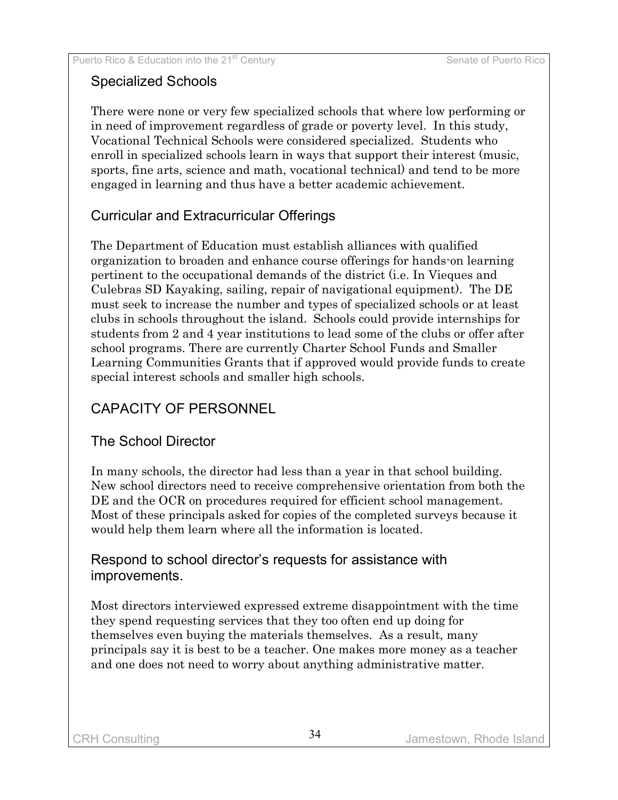### Specialized Schools

There were none or very few specialized schools that where low performing or in need of improvement regardless of grade or poverty level. In this study, Vocational Technical Schools were considered specialized. Students who enroll in specialized schools learn in ways that support their interest (music, sports, fine arts, science and math, vocational technical) and tend to be more engaged in learning and thus have a better academic achievement.

### Curricular and Extracurricular Offerings

The Department of Education must establish alliances with qualified organization to broaden and enhance course offerings for hands-on learning pertinent to the occupational demands of the district (i.e. In Vieques and Culebras SD Kayaking, sailing, repair of navigational equipment). The DE must seek to increase the number and types of specialized schools or at least clubs in schools throughout the island. Schools could provide internships for students from 2 and 4 year institutions to lead some of the clubs or offer after school programs. There are currently Charter School Funds and Smaller Learning Communities Grants that if approved would provide funds to create special interest schools and smaller high schools.

# CAPACITY OF PERSONNEL

### The School Director

In many schools, the director had less than a year in that school building. New school directors need to receive comprehensive orientation from both the DE and the OCR on procedures required for efficient school management. Most of these principals asked for copies of the completed surveys because it would help them learn where all the information is located.

### Respond to school director's requests for assistance with improvements.

Most directors interviewed expressed extreme disappointment with the time they spend requesting services that they too often end up doing for themselves even buying the materials themselves. As a result, many principals say it is best to be a teacher. One makes more money as a teacher and one does not need to worry about anything administrative matter.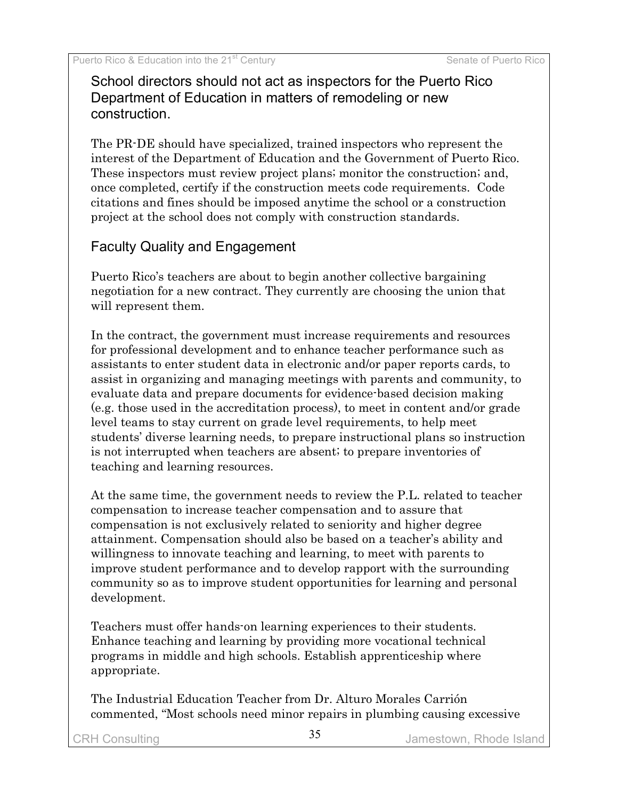School directors should not act as inspectors for the Puerto Rico Department of Education in matters of remodeling or new construction.

The PR-DE should have specialized, trained inspectors who represent the interest of the Department of Education and the Government of Puerto Rico. These inspectors must review project plans; monitor the construction; and, once completed, certify if the construction meets code requirements. Code citations and fines should be imposed anytime the school or a construction project at the school does not comply with construction standards.

### Faculty Quality and Engagement

Puerto Rico's teachers are about to begin another collective bargaining negotiation for a new contract. They currently are choosing the union that will represent them.

In the contract, the government must increase requirements and resources for professional development and to enhance teacher performance such as assistants to enter student data in electronic and/or paper reports cards, to assist in organizing and managing meetings with parents and community, to evaluate data and prepare documents for evidence-based decision making (e.g. those used in the accreditation process), to meet in content and/or grade level teams to stay current on grade level requirements, to help meet students' diverse learning needs, to prepare instructional plans so instruction is not interrupted when teachers are absent; to prepare inventories of teaching and learning resources.

At the same time, the government needs to review the P.L. related to teacher compensation to increase teacher compensation and to assure that compensation is not exclusively related to seniority and higher degree attainment. Compensation should also be based on a teacher's ability and willingness to innovate teaching and learning, to meet with parents to improve student performance and to develop rapport with the surrounding community so as to improve student opportunities for learning and personal development.

Teachers must offer hands-on learning experiences to their students. Enhance teaching and learning by providing more vocational technical programs in middle and high schools. Establish apprenticeship where appropriate.

The Industrial Education Teacher from Dr. Alturo Morales Carrión commented, "Most schools need minor repairs in plumbing causing excessive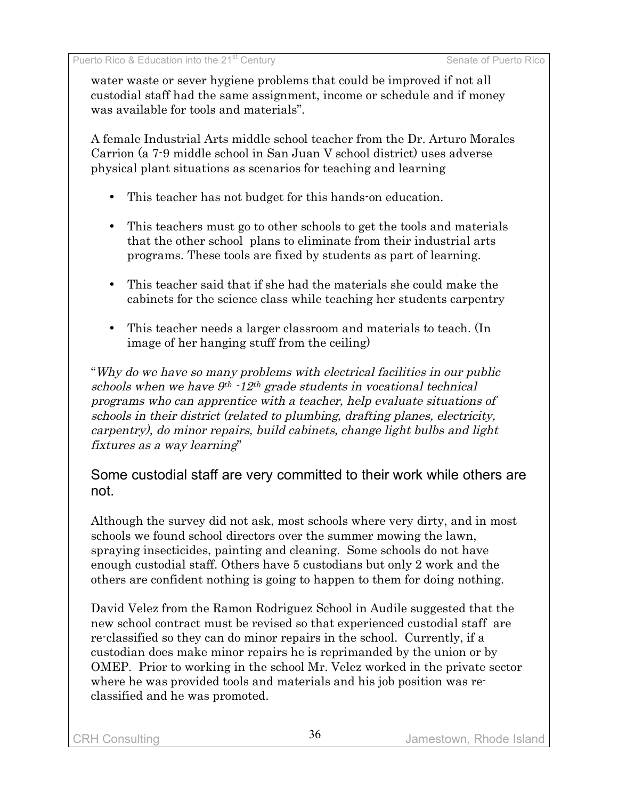water waste or sever hygiene problems that could be improved if not all custodial staff had the same assignment, income or schedule and if money was available for tools and materials".

A female Industrial Arts middle school teacher from the Dr. Arturo Morales Carrion (a 7-9 middle school in San Juan V school district) uses adverse physical plant situations as scenarios for teaching and learning

- This teacher has not budget for this hands-on education.
- This teachers must go to other schools to get the tools and materials that the other school plans to eliminate from their industrial arts programs. These tools are fixed by students as part of learning.
- This teacher said that if she had the materials she could make the cabinets for the science class while teaching her students carpentry
- This teacher needs a larger classroom and materials to teach. (In image of her hanging stuff from the ceiling)

"Why do we have so many problems with electrical facilities in our public schools when we have  $9<sup>th</sup>$  -12<sup>th</sup> grade students in vocational technical programs who can apprentice with <sup>a</sup> teacher, help evaluate situations of schools in their district (related to plumbing, drafting planes, electricity, carpentry), do minor repairs, build cabinets, change light bulbs and light fixtures as <sup>a</sup> way learning"

### Some custodial staff are very committed to their work while others are not.

Although the survey did not ask, most schools where very dirty, and in most schools we found school directors over the summer mowing the lawn, spraying insecticides, painting and cleaning. Some schools do not have enough custodial staff. Others have 5 custodians but only 2 work and the others are confident nothing is going to happen to them for doing nothing.

David Velez from the Ramon Rodriguez School in Audile suggested that the new school contract must be revised so that experienced custodial staff are re-classified so they can do minor repairs in the school. Currently, if a custodian does make minor repairs he is reprimanded by the union or by OMEP. Prior to working in the school Mr. Velez worked in the private sector where he was provided tools and materials and his job position was reclassified and he was promoted.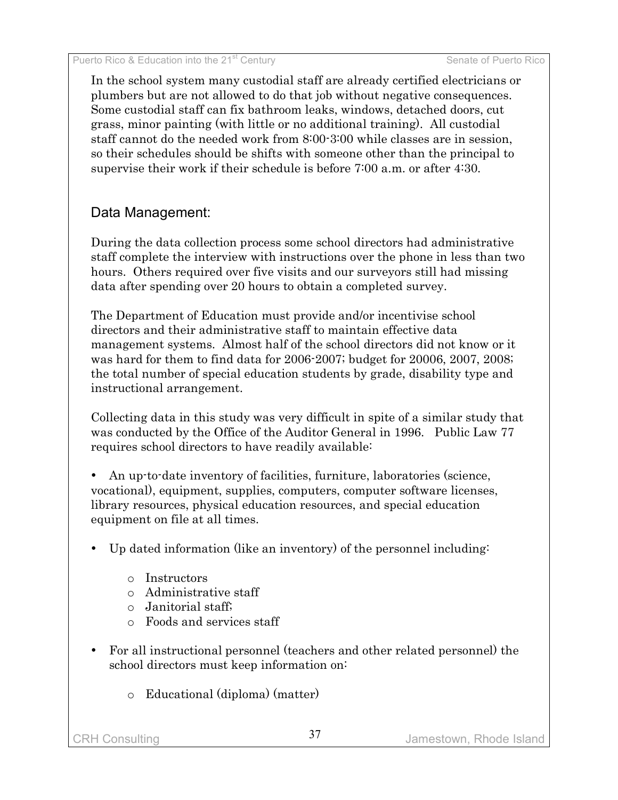In the school system many custodial staff are already certified electricians or plumbers but are not allowed to do that job without negative consequences. Some custodial staff can fix bathroom leaks, windows, detached doors, cut grass, minor painting (with little or no additional training). All custodial staff cannot do the needed work from 8:00-3:00 while classes are in session, so their schedules should be shifts with someone other than the principal to supervise their work if their schedule is before 7:00 a.m. or after 4:30.

### Data Management:

During the data collection process some school directors had administrative staff complete the interview with instructions over the phone in less than two hours. Others required over five visits and our surveyors still had missing data after spending over 20 hours to obtain a completed survey.

The Department of Education must provide and/or incentivise school directors and their administrative staff to maintain effective data management systems. Almost half of the school directors did not know or it was hard for them to find data for 2006-2007; budget for 20006, 2007, 2008; the total number of special education students by grade, disability type and instructional arrangement.

Collecting data in this study was very difficult in spite of a similar study that was conducted by the Office of the Auditor General in 1996. Public Law 77 requires school directors to have readily available:

• An up-to-date inventory of facilities, furniture, laboratories (science, vocational), equipment, supplies, computers, computer software licenses, library resources, physical education resources, and special education equipment on file at all times.

- Up dated information (like an inventory) of the personnel including:
	- o Instructors
	- o Administrative staff
	- o Janitorial staff;
	- o Foods and services staff
- For all instructional personnel (teachers and other related personnel) the school directors must keep information on:
	- o Educational (diploma) (matter)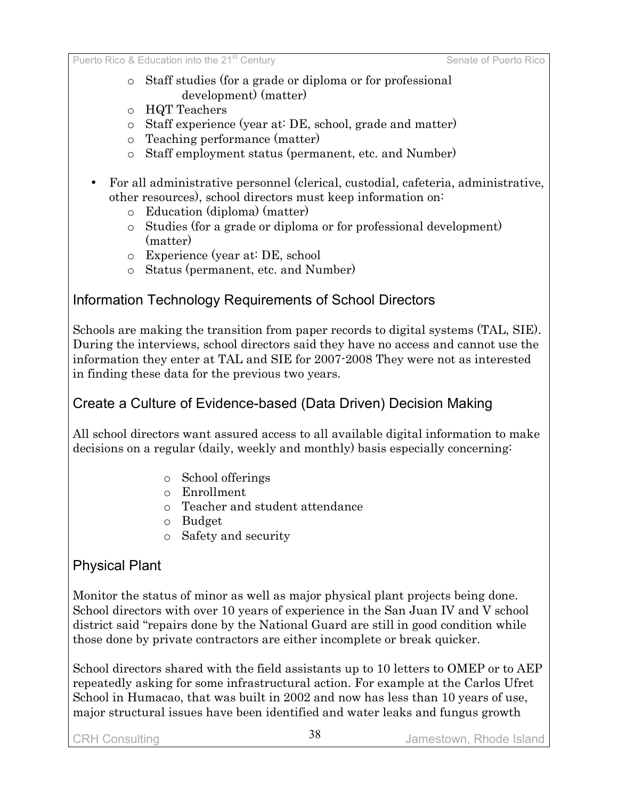- o Staff studies (for a grade or diploma or for professional development) (matter)
- o HQT Teachers
- o Staff experience (year at: DE, school, grade and matter)
- o Teaching performance (matter)
- o Staff employment status (permanent, etc. and Number)
- For all administrative personnel (clerical, custodial, cafeteria, administrative, other resources), school directors must keep information on:
	- o Education (diploma) (matter)
	- o Studies (for a grade or diploma or for professional development) (matter)
	- o Experience (year at: DE, school
	- o Status (permanent, etc. and Number)

### Information Technology Requirements of School Directors

Schools are making the transition from paper records to digital systems (TAL, SIE). During the interviews, school directors said they have no access and cannot use the information they enter at TAL and SIE for 2007-2008 They were not as interested in finding these data for the previous two years.

### Create a Culture of Evidence-based (Data Driven) Decision Making

All school directors want assured access to all available digital information to make decisions on a regular (daily, weekly and monthly) basis especially concerning:

- o School offerings
- o Enrollment
- o Teacher and student attendance
- o Budget
- o Safety and security

### Physical Plant

Monitor the status of minor as well as major physical plant projects being done. School directors with over 10 years of experience in the San Juan IV and V school district said "repairs done by the National Guard are still in good condition while those done by private contractors are either incomplete or break quicker.

School directors shared with the field assistants up to 10 letters to OMEP or to AEP repeatedly asking for some infrastructural action. For example at the Carlos Ufret School in Humacao, that was built in 2002 and now has less than 10 years of use, major structural issues have been identified and water leaks and fungus growth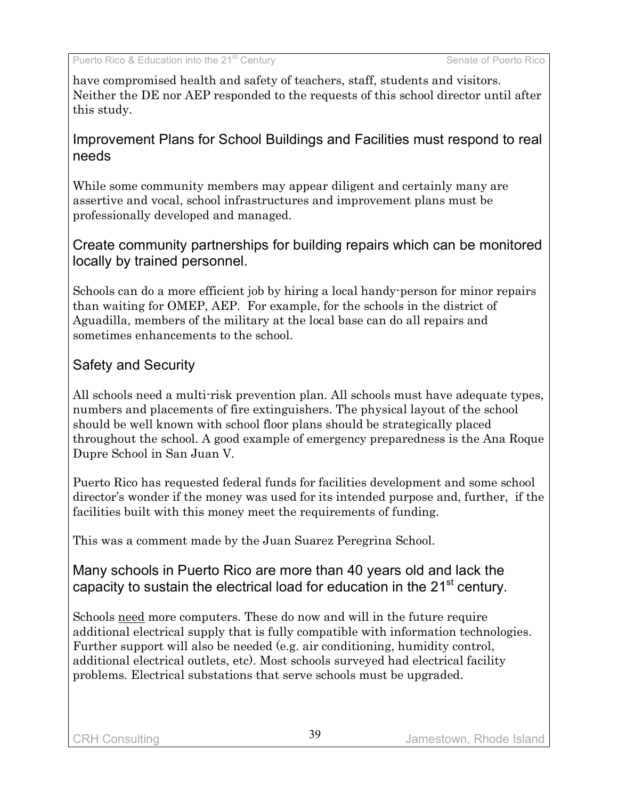have compromised health and safety of teachers, staff, students and visitors. Neither the DE nor AEP responded to the requests of this school director until after this study.

### Improvement Plans for School Buildings and Facilities must respond to real needs

While some community members may appear diligent and certainly many are assertive and vocal, school infrastructures and improvement plans must be professionally developed and managed.

Create community partnerships for building repairs which can be monitored locally by trained personnel.

Schools can do a more efficient job by hiring a local handy-person for minor repairs than waiting for OMEP, AEP. For example, for the schools in the district of Aguadilla, members of the military at the local base can do all repairs and sometimes enhancements to the school.

# Safety and Security

All schools need a multi-risk prevention plan. All schools must have adequate types, numbers and placements of fire extinguishers. The physical layout of the school should be well known with school floor plans should be strategically placed throughout the school. A good example of emergency preparedness is the Ana Roque Dupre School in San Juan V.

Puerto Rico has requested federal funds for facilities development and some school director's wonder if the money was used for its intended purpose and, further, if the facilities built with this money meet the requirements of funding.

This was a comment made by the Juan Suarez Peregrina School.

Many schools in Puerto Rico are more than 40 years old and lack the capacity to sustain the electrical load for education in the 21 $^{\rm st}$  century.

Schools need more computers. These do now and will in the future require additional electrical supply that is fully compatible with information technologies. Further support will also be needed (e.g. air conditioning, humidity control, additional electrical outlets, etc). Most schools surveyed had electrical facility problems. Electrical substations that serve schools must be upgraded.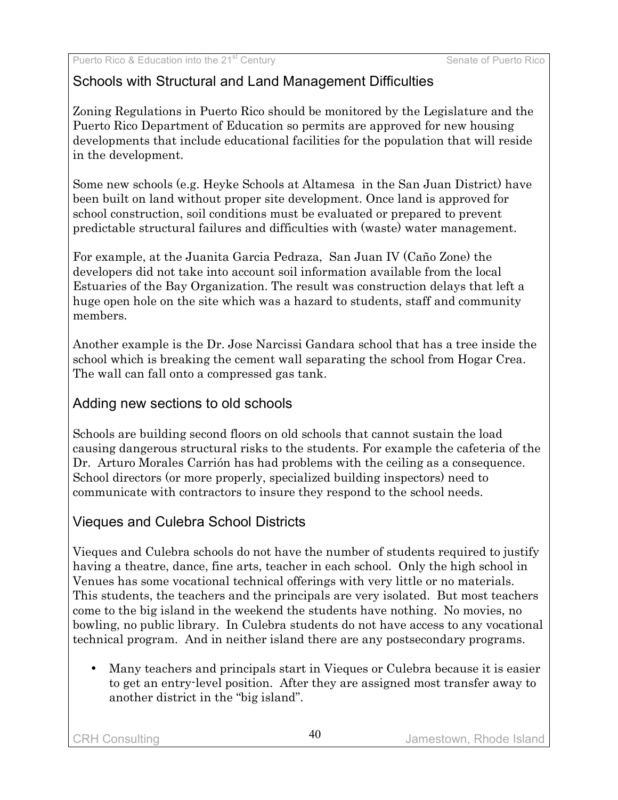# Schools with Structural and Land Management Difficulties

Zoning Regulations in Puerto Rico should be monitored by the Legislature and the Puerto Rico Department of Education so permits are approved for new housing developments that include educational facilities for the population that will reside in the development.

Some new schools (e.g. Heyke Schools at Altamesa in the San Juan District) have been built on land without proper site development. Once land is approved for school construction, soil conditions must be evaluated or prepared to prevent predictable structural failures and difficulties with (waste) water management.

For example, at the Juanita Garcia Pedraza, San Juan IV (Caño Zone) the developers did not take into account soil information available from the local Estuaries of the Bay Organization. The result was construction delays that left a huge open hole on the site which was a hazard to students, staff and community members.

Another example is the Dr. Jose Narcissi Gandara school that has a tree inside the school which is breaking the cement wall separating the school from Hogar Crea. The wall can fall onto a compressed gas tank.

# Adding new sections to old schools

Schools are building second floors on old schools that cannot sustain the load causing dangerous structural risks to the students. For example the cafeteria of the Dr. Arturo Morales Carrión has had problems with the ceiling as a consequence. School directors (or more properly, specialized building inspectors) need to communicate with contractors to insure they respond to the school needs.

# Vieques and Culebra School Districts

Vieques and Culebra schools do not have the number of students required to justify having a theatre, dance, fine arts, teacher in each school. Only the high school in Venues has some vocational technical offerings with very little or no materials. This students, the teachers and the principals are very isolated. But most teachers come to the big island in the weekend the students have nothing. No movies, no bowling, no public library. In Culebra students do not have access to any vocational technical program. And in neither island there are any postsecondary programs.

• Many teachers and principals start in Vieques or Culebra because it is easier to get an entry-level position. After they are assigned most transfer away to another district in the "big island".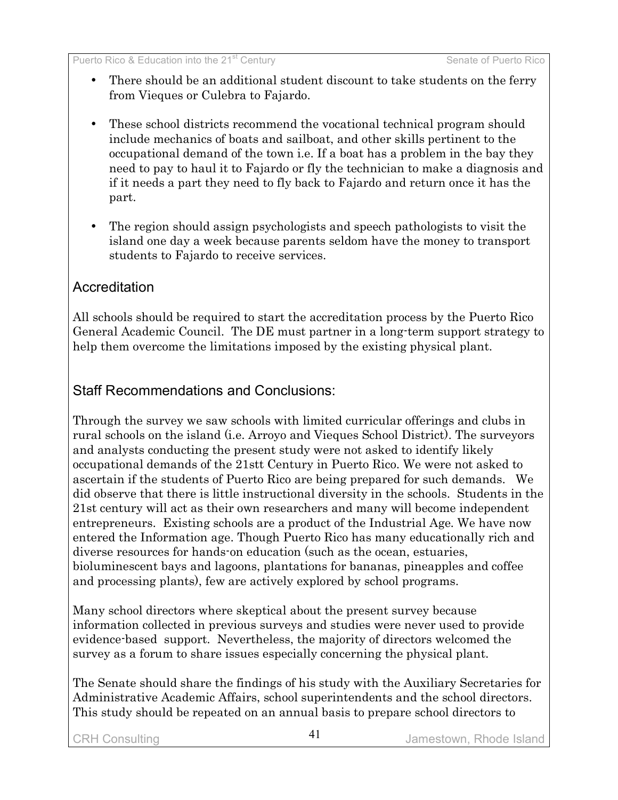- There should be an additional student discount to take students on the ferry from Vieques or Culebra to Fajardo.
- These school districts recommend the vocational technical program should include mechanics of boats and sailboat, and other skills pertinent to the occupational demand of the town i.e. If a boat has a problem in the bay they need to pay to haul it to Fajardo or fly the technician to make a diagnosis and if it needs a part they need to fly back to Fajardo and return once it has the part.
- The region should assign psychologists and speech pathologists to visit the island one day a week because parents seldom have the money to transport students to Fajardo to receive services.

### **Accreditation**

All schools should be required to start the accreditation process by the Puerto Rico General Academic Council. The DE must partner in a long-term support strategy to help them overcome the limitations imposed by the existing physical plant.

### Staff Recommendations and Conclusions:

Through the survey we saw schools with limited curricular offerings and clubs in rural schools on the island (i.e. Arroyo and Vieques School District). The surveyors and analysts conducting the present study were not asked to identify likely occupational demands of the 21stt Century in Puerto Rico. We were not asked to ascertain if the students of Puerto Rico are being prepared for such demands. We did observe that there is little instructional diversity in the schools. Students in the 21st century will act as their own researchers and many will become independent entrepreneurs. Existing schools are a product of the Industrial Age. We have now entered the Information age. Though Puerto Rico has many educationally rich and diverse resources for hands-on education (such as the ocean, estuaries, bioluminescent bays and lagoons, plantations for bananas, pineapples and coffee and processing plants), few are actively explored by school programs.

Many school directors where skeptical about the present survey because information collected in previous surveys and studies were never used to provide evidence-based support. Nevertheless, the majority of directors welcomed the survey as a forum to share issues especially concerning the physical plant.

The Senate should share the findings of his study with the Auxiliary Secretaries for Administrative Academic Affairs, school superintendents and the school directors. This study should be repeated on an annual basis to prepare school directors to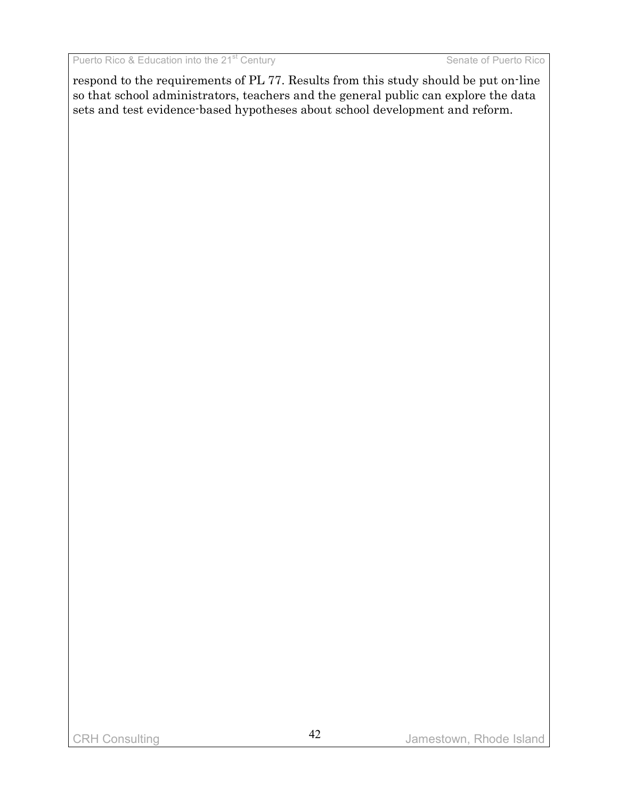respond to the requirements of PL 77. Results from this study should be put on-line so that school administrators, teachers and the general public can explore the data sets and test evidence-based hypotheses about school development and reform.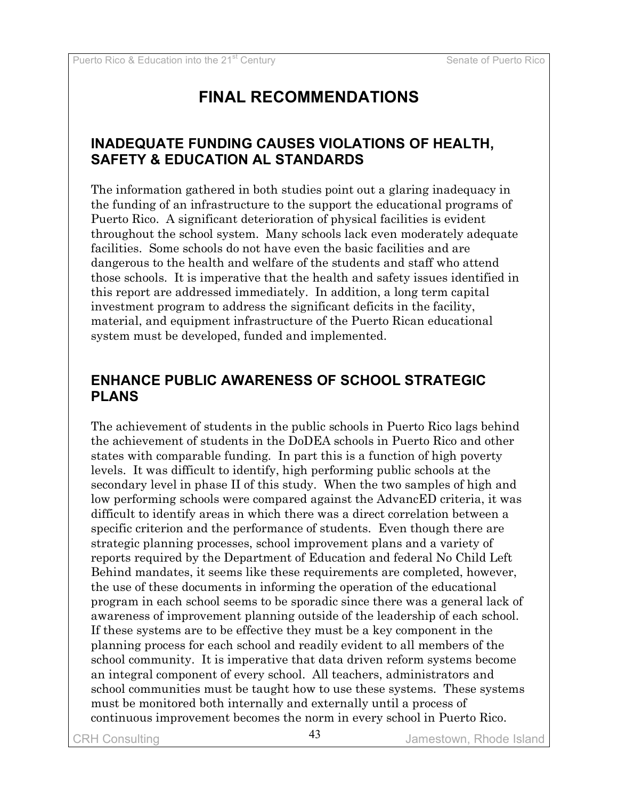# **FINAL RECOMMENDATIONS**

### **INADEQUATE FUNDING CAUSES VIOLATIONS OF HEALTH, SAFETY & EDUCATION AL STANDARDS**

The information gathered in both studies point out a glaring inadequacy in the funding of an infrastructure to the support the educational programs of Puerto Rico. A significant deterioration of physical facilities is evident throughout the school system. Many schools lack even moderately adequate facilities. Some schools do not have even the basic facilities and are dangerous to the health and welfare of the students and staff who attend those schools. It is imperative that the health and safety issues identified in this report are addressed immediately. In addition, a long term capital investment program to address the significant deficits in the facility, material, and equipment infrastructure of the Puerto Rican educational system must be developed, funded and implemented.

### **ENHANCE PUBLIC AWARENESS OF SCHOOL STRATEGIC PLANS**

The achievement of students in the public schools in Puerto Rico lags behind the achievement of students in the DoDEA schools in Puerto Rico and other states with comparable funding. In part this is a function of high poverty levels. It was difficult to identify, high performing public schools at the secondary level in phase II of this study. When the two samples of high and low performing schools were compared against the AdvancED criteria, it was difficult to identify areas in which there was a direct correlation between a specific criterion and the performance of students. Even though there are strategic planning processes, school improvement plans and a variety of reports required by the Department of Education and federal No Child Left Behind mandates, it seems like these requirements are completed, however, the use of these documents in informing the operation of the educational program in each school seems to be sporadic since there was a general lack of awareness of improvement planning outside of the leadership of each school. If these systems are to be effective they must be a key component in the planning process for each school and readily evident to all members of the school community. It is imperative that data driven reform systems become an integral component of every school. All teachers, administrators and school communities must be taught how to use these systems. These systems must be monitored both internally and externally until a process of continuous improvement becomes the norm in every school in Puerto Rico.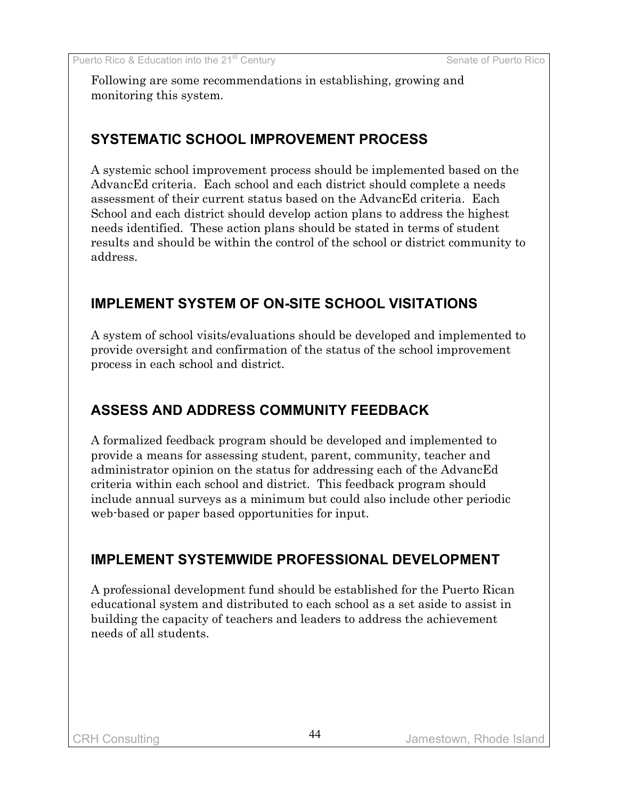Following are some recommendations in establishing, growing and monitoring this system.

### **SYSTEMATIC SCHOOL IMPROVEMENT PROCESS**

A systemic school improvement process should be implemented based on the AdvancEd criteria. Each school and each district should complete a needs assessment of their current status based on the AdvancEd criteria. Each School and each district should develop action plans to address the highest needs identified. These action plans should be stated in terms of student results and should be within the control of the school or district community to address.

# **IMPLEMENT SYSTEM OF ON-SITE SCHOOL VISITATIONS**

A system of school visits/evaluations should be developed and implemented to provide oversight and confirmation of the status of the school improvement process in each school and district.

# **ASSESS AND ADDRESS COMMUNITY FEEDBACK**

A formalized feedback program should be developed and implemented to provide a means for assessing student, parent, community, teacher and administrator opinion on the status for addressing each of the AdvancEd criteria within each school and district. This feedback program should include annual surveys as a minimum but could also include other periodic web-based or paper based opportunities for input.

# **IMPLEMENT SYSTEMWIDE PROFESSIONAL DEVELOPMENT**

A professional development fund should be established for the Puerto Rican educational system and distributed to each school as a set aside to assist in building the capacity of teachers and leaders to address the achievement needs of all students.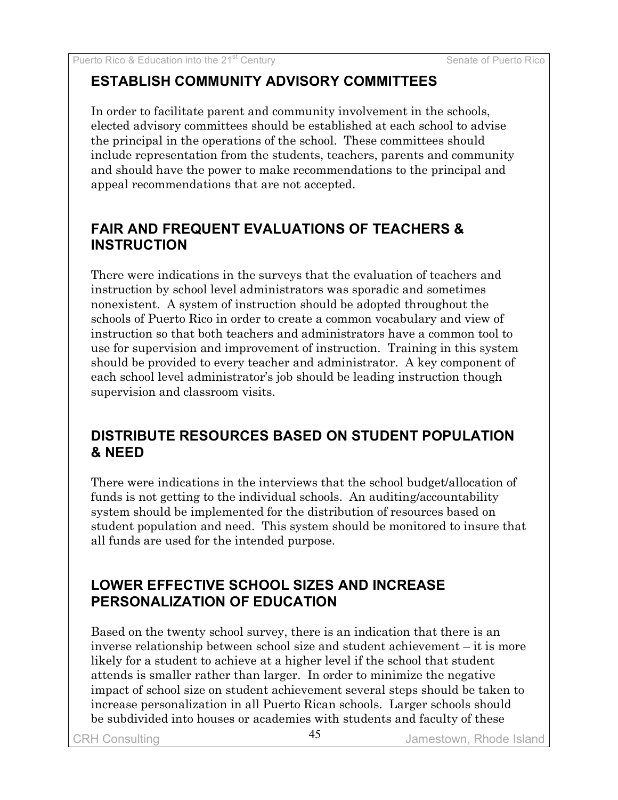# **ESTABLISH COMMUNITY ADVISORY COMMITTEES**

In order to facilitate parent and community involvement in the schools, elected advisory committees should be established at each school to advise the principal in the operations of the school. These committees should include representation from the students, teachers, parents and community and should have the power to make recommendations to the principal and appeal recommendations that are not accepted.

# **FAIR AND FREQUENT EVALUATIONS OF TEACHERS & INSTRUCTION**

There were indications in the surveys that the evaluation of teachers and instruction by school level administrators was sporadic and sometimes nonexistent. A system of instruction should be adopted throughout the schools of Puerto Rico in order to create a common vocabulary and view of instruction so that both teachers and administrators have a common tool to use for supervision and improvement of instruction. Training in this system should be provided to every teacher and administrator. A key component of each school level administrator's job should be leading instruction though supervision and classroom visits.

# **DISTRIBUTE RESOURCES BASED ON STUDENT POPULATION & NEED**

There were indications in the interviews that the school budget/allocation of funds is not getting to the individual schools. An auditing/accountability system should be implemented for the distribution of resources based on student population and need. This system should be monitored to insure that all funds are used for the intended purpose.

# **LOWER EFFECTIVE SCHOOL SIZES AND INCREASE PERSONALIZATION OF EDUCATION**

Based on the twenty school survey, there is an indication that there is an inverse relationship between school size and student achievement – it is more likely for a student to achieve at a higher level if the school that student attends is smaller rather than larger. In order to minimize the negative impact of school size on student achievement several steps should be taken to increase personalization in all Puerto Rican schools. Larger schools should be subdivided into houses or academies with students and faculty of these